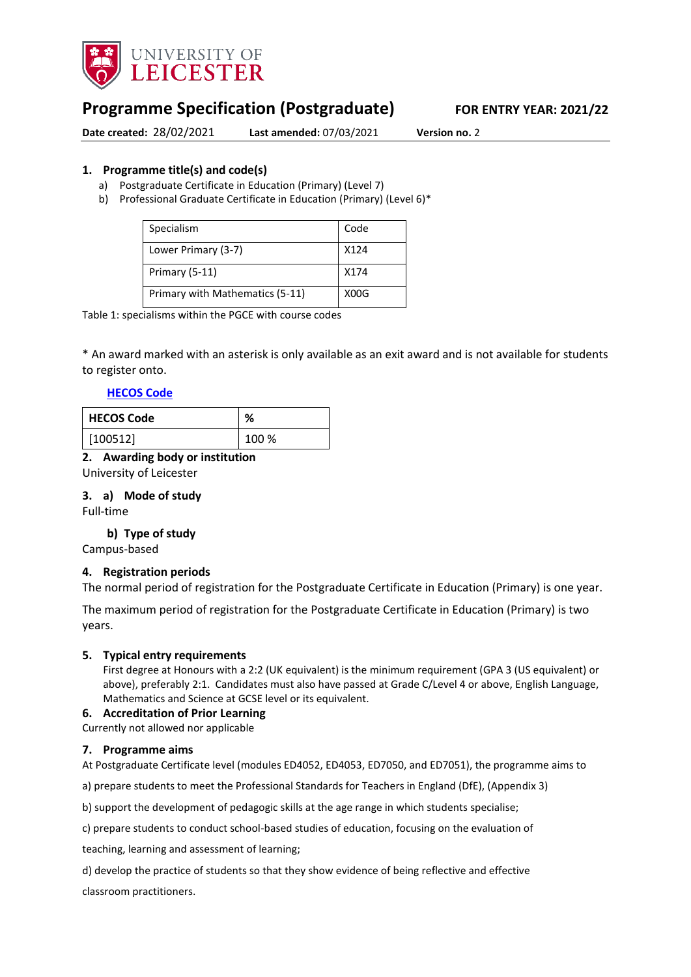

# **Programme Specification (Postgraduate) FOR ENTRY YEAR: 2021/22**

**Date created:** 28/02/2021 **Last amended:** 07/03/2021 **Version no.** 2

#### <span id="page-0-0"></span>**1. Programme title(s) and code(s)**

- a) Postgraduate Certificate in Education (Primary) (Level 7)
- b) Professional Graduate Certificate in Education (Primary) (Level 6)\*

| Specialism                      | Code |
|---------------------------------|------|
| Lower Primary (3-7)             | X124 |
| Primary (5-11)                  | X174 |
| Primary with Mathematics (5-11) | X00G |

Table 1: specialisms within the PGCE with course codes

\* An award marked with an asterisk is only available as an exit award and is not available for students to register onto.

#### **[HECOS Code](https://www.hesa.ac.uk/innovation/hecos)**

| <b>HECOS Code</b> | %     |
|-------------------|-------|
| [100512]          | 100 % |

#### **2. Awarding body or institution**

University of Leicester

#### **3. a) Mode of study**

Full-time

#### **b) Type of study**

Campus-based

#### **4. Registration periods**

The normal period of registration for the Postgraduate Certificate in Education (Primary) is one year.

The maximum period of registration for the Postgraduate Certificate in Education (Primary) is two years.

#### **5. Typical entry requirements**

First degree at Honours with a 2:2 (UK equivalent) is the minimum requirement (GPA 3 (US equivalent) or above), preferably 2:1. Candidates must also have passed at Grade C/Level 4 or above, English Language, Mathematics and Science at GCSE level or its equivalent.

#### **6. Accreditation of Prior Learning**

#### Currently not allowed nor applicable

#### **7. Programme aims**

At Postgraduate Certificate level (modules ED4052, ED4053, ED7050, and ED7051), the programme aims to

a) prepare students to meet the Professional Standards for Teachers in England (DfE), (Appendix 3)

b) support the development of pedagogic skills at the age range in which students specialise;

c) prepare students to conduct school-based studies of education, focusing on the evaluation of

teaching, learning and assessment of learning;

d) develop the practice of students so that they show evidence of being reflective and effective

classroom practitioners.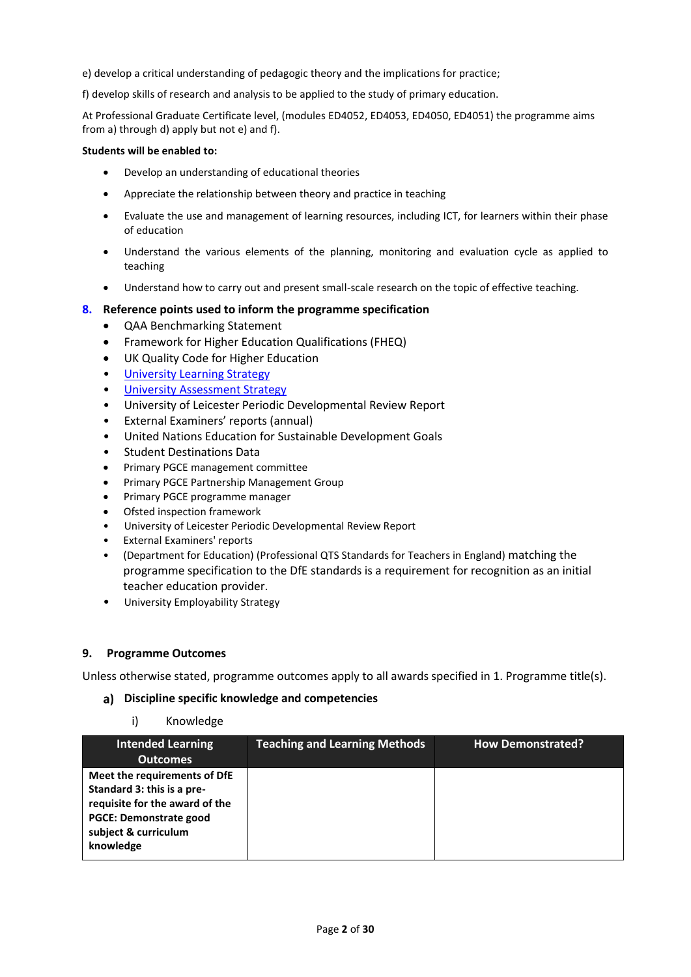e) develop a critical understanding of pedagogic theory and the implications for practice;

f) develop skills of research and analysis to be applied to the study of primary education.

At Professional Graduate Certificate level, (modules ED4052, ED4053, ED4050, ED4051) the programme aims from a) through d) apply but not e) and f).

#### **Students will be enabled to:**

- Develop an understanding of educational theories
- Appreciate the relationship between theory and practice in teaching
- Evaluate the use and management of learning resources, including ICT, for learners within their phase of education
- Understand the various elements of the planning, monitoring and evaluation cycle as applied to teaching
- Understand how to carry out and present small-scale research on the topic of effective teaching.

#### **8. Reference points used to inform the programme specification**

- QAA Benchmarking Statement
- Framework for Higher Education Qualifications (FHEQ)
- UK Quality Code for Higher Education
- [University Learning Strategy](https://www2.le.ac.uk/offices/sas2/quality/learnteach)
- [University Assessment Strategy](https://www2.le.ac.uk/offices/sas2/quality/learnteach)
- University of Leicester Periodic Developmental Review Report
- External Examiners' reports (annual)
- United Nations Education for Sustainable Development Goals
- Student Destinations Data
- Primary PGCE management committee
- **•** Primary PGCE Partnership Management Group
- Primary PGCE programme manager
- Ofsted inspection framework
- University of Leicester Periodic Developmental Review Report
- External Examiners' reports
- (Department for Education) (Professional QTS Standards for Teachers in England) matching the programme specification to the DfE standards is a requirement for recognition as an initial teacher education provider.
- University Employability Strategy

#### **9. Programme Outcomes**

Unless otherwise stated, programme outcomes apply to all awards specified in [1.](#page-0-0) Programme title(s).

#### **Discipline specific knowledge and competencies**

#### i) Knowledge

| <b>Intended Learning</b><br><b>Outcomes</b>                                                                                                                        | <b>Teaching and Learning Methods</b> | <b>How Demonstrated?</b> |
|--------------------------------------------------------------------------------------------------------------------------------------------------------------------|--------------------------------------|--------------------------|
| Meet the requirements of DfE<br>Standard 3: this is a pre-<br>requisite for the award of the<br><b>PGCE: Demonstrate good</b><br>subject & curriculum<br>knowledge |                                      |                          |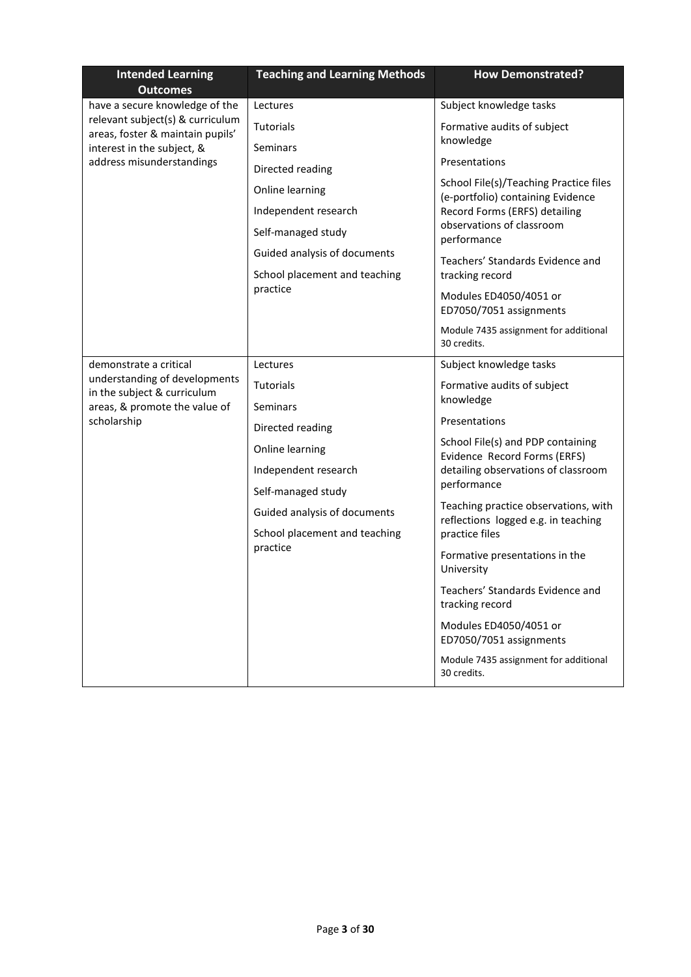| <b>Intended Learning</b><br><b>Outcomes</b>                                                                                            | <b>Teaching and Learning Methods</b>                                                                                                                                                                              | <b>How Demonstrated?</b>                                                                                                                                                                                                                                                                                                                                                                                                                                                                                                             |
|----------------------------------------------------------------------------------------------------------------------------------------|-------------------------------------------------------------------------------------------------------------------------------------------------------------------------------------------------------------------|--------------------------------------------------------------------------------------------------------------------------------------------------------------------------------------------------------------------------------------------------------------------------------------------------------------------------------------------------------------------------------------------------------------------------------------------------------------------------------------------------------------------------------------|
| have a secure knowledge of the                                                                                                         | Lectures                                                                                                                                                                                                          | Subject knowledge tasks                                                                                                                                                                                                                                                                                                                                                                                                                                                                                                              |
| relevant subject(s) & curriculum<br>areas, foster & maintain pupils'<br>interest in the subject, &<br>address misunderstandings        | <b>Tutorials</b>                                                                                                                                                                                                  | Formative audits of subject<br>knowledge                                                                                                                                                                                                                                                                                                                                                                                                                                                                                             |
|                                                                                                                                        | <b>Seminars</b><br>Directed reading<br>Online learning<br>Independent research<br>Self-managed study<br>Guided analysis of documents<br>School placement and teaching                                             | Presentations<br>School File(s)/Teaching Practice files<br>(e-portfolio) containing Evidence<br>Record Forms (ERFS) detailing<br>observations of classroom<br>performance<br>Teachers' Standards Evidence and<br>tracking record                                                                                                                                                                                                                                                                                                     |
|                                                                                                                                        | practice                                                                                                                                                                                                          | Modules ED4050/4051 or<br>ED7050/7051 assignments<br>Module 7435 assignment for additional<br>30 credits.                                                                                                                                                                                                                                                                                                                                                                                                                            |
| demonstrate a critical<br>understanding of developments<br>in the subject & curriculum<br>areas, & promote the value of<br>scholarship | Lectures<br><b>Tutorials</b><br><b>Seminars</b><br>Directed reading<br>Online learning<br>Independent research<br>Self-managed study<br>Guided analysis of documents<br>School placement and teaching<br>practice | Subject knowledge tasks<br>Formative audits of subject<br>knowledge<br>Presentations<br>School File(s) and PDP containing<br>Evidence Record Forms (ERFS)<br>detailing observations of classroom<br>performance<br>Teaching practice observations, with<br>reflections logged e.g. in teaching<br>practice files<br>Formative presentations in the<br>University<br>Teachers' Standards Evidence and<br>tracking record<br>Modules ED4050/4051 or<br>ED7050/7051 assignments<br>Module 7435 assignment for additional<br>30 credits. |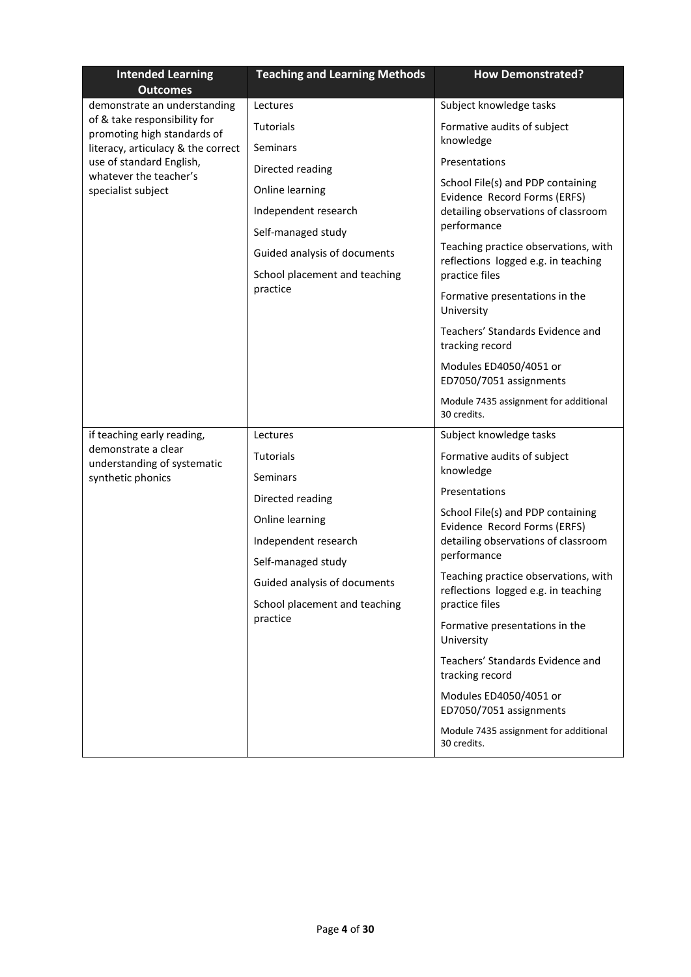| <b>Intended Learning</b><br><b>Outcomes</b>                 | <b>Teaching and Learning Methods</b> | <b>How Demonstrated?</b>                                                    |
|-------------------------------------------------------------|--------------------------------------|-----------------------------------------------------------------------------|
| demonstrate an understanding                                | Lectures                             | Subject knowledge tasks                                                     |
| of & take responsibility for<br>promoting high standards of | Tutorials                            | Formative audits of subject                                                 |
| literacy, articulacy & the correct                          | Seminars                             | knowledge                                                                   |
| use of standard English,<br>whatever the teacher's          | Directed reading                     | Presentations                                                               |
| specialist subject                                          | Online learning                      | School File(s) and PDP containing<br>Evidence Record Forms (ERFS)           |
|                                                             | Independent research                 | detailing observations of classroom                                         |
|                                                             | Self-managed study                   | performance                                                                 |
|                                                             | Guided analysis of documents         | Teaching practice observations, with<br>reflections logged e.g. in teaching |
|                                                             | School placement and teaching        | practice files                                                              |
|                                                             | practice                             | Formative presentations in the<br>University                                |
|                                                             |                                      | Teachers' Standards Evidence and<br>tracking record                         |
|                                                             |                                      | Modules ED4050/4051 or<br>ED7050/7051 assignments                           |
|                                                             |                                      | Module 7435 assignment for additional<br>30 credits.                        |
| if teaching early reading,                                  | Lectures                             | Subject knowledge tasks                                                     |
| demonstrate a clear<br>understanding of systematic          | <b>Tutorials</b>                     | Formative audits of subject                                                 |
| synthetic phonics                                           | <b>Seminars</b>                      | knowledge                                                                   |
|                                                             | Directed reading                     | Presentations                                                               |
|                                                             | Online learning                      | School File(s) and PDP containing<br>Evidence Record Forms (ERFS)           |
|                                                             | Independent research                 | detailing observations of classroom                                         |
|                                                             | Self-managed study                   | performance                                                                 |
|                                                             | Guided analysis of documents         | Teaching practice observations, with<br>reflections logged e.g. in teaching |
|                                                             | School placement and teaching        | practice files                                                              |
|                                                             | practice                             | Formative presentations in the<br>University                                |
|                                                             |                                      | Teachers' Standards Evidence and<br>tracking record                         |
|                                                             |                                      | Modules ED4050/4051 or<br>ED7050/7051 assignments                           |
|                                                             |                                      | Module 7435 assignment for additional<br>30 credits.                        |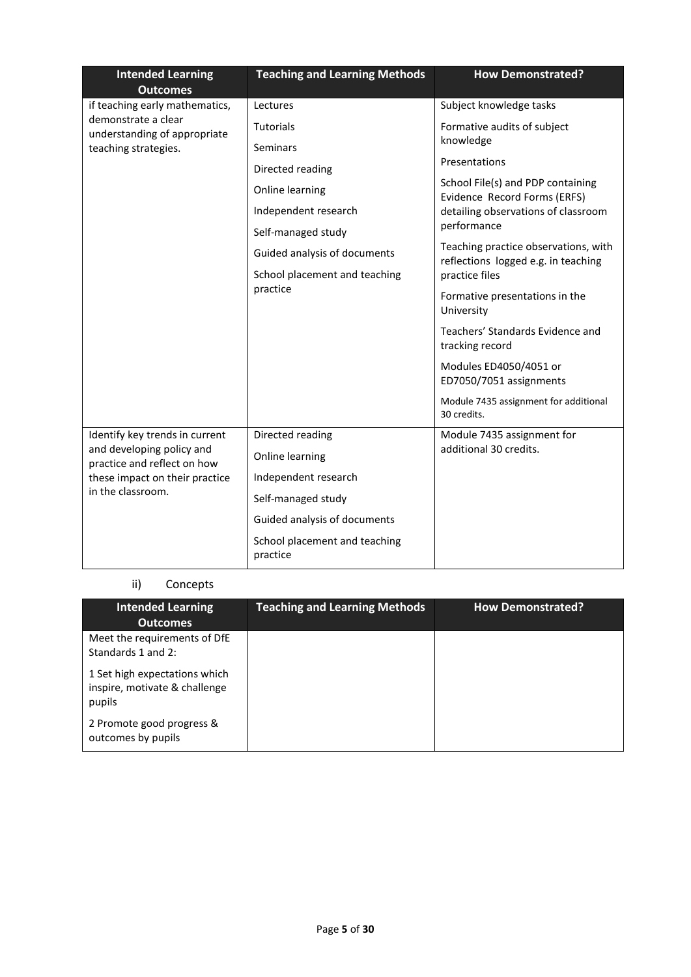| <b>Intended Learning</b><br><b>Outcomes</b>                                                                     | <b>Teaching and Learning Methods</b>      | <b>How Demonstrated?</b>                                                    |
|-----------------------------------------------------------------------------------------------------------------|-------------------------------------------|-----------------------------------------------------------------------------|
| if teaching early mathematics,                                                                                  | Lectures                                  | Subject knowledge tasks                                                     |
| demonstrate a clear<br>understanding of appropriate                                                             | Tutorials                                 | Formative audits of subject                                                 |
| teaching strategies.                                                                                            | <b>Seminars</b>                           | knowledge                                                                   |
|                                                                                                                 | Directed reading                          | Presentations                                                               |
|                                                                                                                 | Online learning                           | School File(s) and PDP containing<br>Evidence Record Forms (ERFS)           |
|                                                                                                                 | Independent research                      | detailing observations of classroom                                         |
|                                                                                                                 | Self-managed study                        | performance                                                                 |
|                                                                                                                 | Guided analysis of documents              | Teaching practice observations, with<br>reflections logged e.g. in teaching |
|                                                                                                                 | School placement and teaching             | practice files                                                              |
|                                                                                                                 | practice                                  | Formative presentations in the<br>University                                |
|                                                                                                                 |                                           | Teachers' Standards Evidence and<br>tracking record                         |
|                                                                                                                 |                                           | Modules ED4050/4051 or<br>ED7050/7051 assignments                           |
|                                                                                                                 |                                           | Module 7435 assignment for additional<br>30 credits.                        |
| Identify key trends in current                                                                                  | Directed reading                          | Module 7435 assignment for                                                  |
| and developing policy and<br>practice and reflect on how<br>these impact on their practice<br>in the classroom. | Online learning                           | additional 30 credits.                                                      |
|                                                                                                                 | Independent research                      |                                                                             |
|                                                                                                                 | Self-managed study                        |                                                                             |
|                                                                                                                 | Guided analysis of documents              |                                                                             |
|                                                                                                                 | School placement and teaching<br>practice |                                                                             |

## ii) Concepts

| <b>Intended Learning</b><br><b>Outcomes</b>                              | <b>Teaching and Learning Methods</b> | <b>How Demonstrated?</b> |
|--------------------------------------------------------------------------|--------------------------------------|--------------------------|
| Meet the requirements of DfE<br>Standards 1 and 2:                       |                                      |                          |
| 1 Set high expectations which<br>inspire, motivate & challenge<br>pupils |                                      |                          |
| 2 Promote good progress &<br>outcomes by pupils                          |                                      |                          |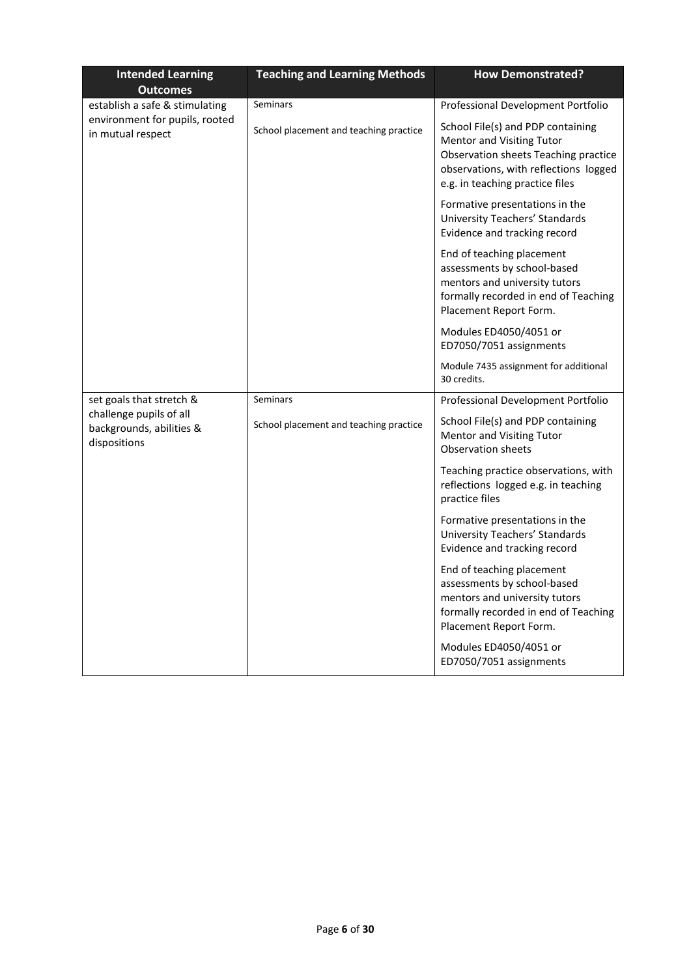| <b>Intended Learning</b>                                                              | <b>Teaching and Learning Methods</b>   | <b>How Demonstrated?</b>                                                                                                                                                           |
|---------------------------------------------------------------------------------------|----------------------------------------|------------------------------------------------------------------------------------------------------------------------------------------------------------------------------------|
| <b>Outcomes</b>                                                                       | Seminars                               | Professional Development Portfolio                                                                                                                                                 |
| establish a safe & stimulating<br>environment for pupils, rooted<br>in mutual respect | School placement and teaching practice | School File(s) and PDP containing<br>Mentor and Visiting Tutor<br>Observation sheets Teaching practice<br>observations, with reflections logged<br>e.g. in teaching practice files |
|                                                                                       |                                        | Formative presentations in the<br>University Teachers' Standards<br>Evidence and tracking record                                                                                   |
|                                                                                       |                                        | End of teaching placement<br>assessments by school-based<br>mentors and university tutors<br>formally recorded in end of Teaching<br>Placement Report Form.                        |
|                                                                                       |                                        | Modules ED4050/4051 or<br>ED7050/7051 assignments                                                                                                                                  |
|                                                                                       |                                        | Module 7435 assignment for additional<br>30 credits.                                                                                                                               |
| set goals that stretch &                                                              | <b>Seminars</b>                        | Professional Development Portfolio                                                                                                                                                 |
| challenge pupils of all<br>backgrounds, abilities &<br>dispositions                   | School placement and teaching practice | School File(s) and PDP containing<br><b>Mentor and Visiting Tutor</b><br><b>Observation sheets</b>                                                                                 |
|                                                                                       |                                        | Teaching practice observations, with<br>reflections logged e.g. in teaching<br>practice files                                                                                      |
|                                                                                       |                                        | Formative presentations in the<br>University Teachers' Standards<br>Evidence and tracking record                                                                                   |
|                                                                                       |                                        | End of teaching placement<br>assessments by school-based<br>mentors and university tutors<br>formally recorded in end of Teaching<br>Placement Report Form.                        |
|                                                                                       |                                        | Modules ED4050/4051 or<br>ED7050/7051 assignments                                                                                                                                  |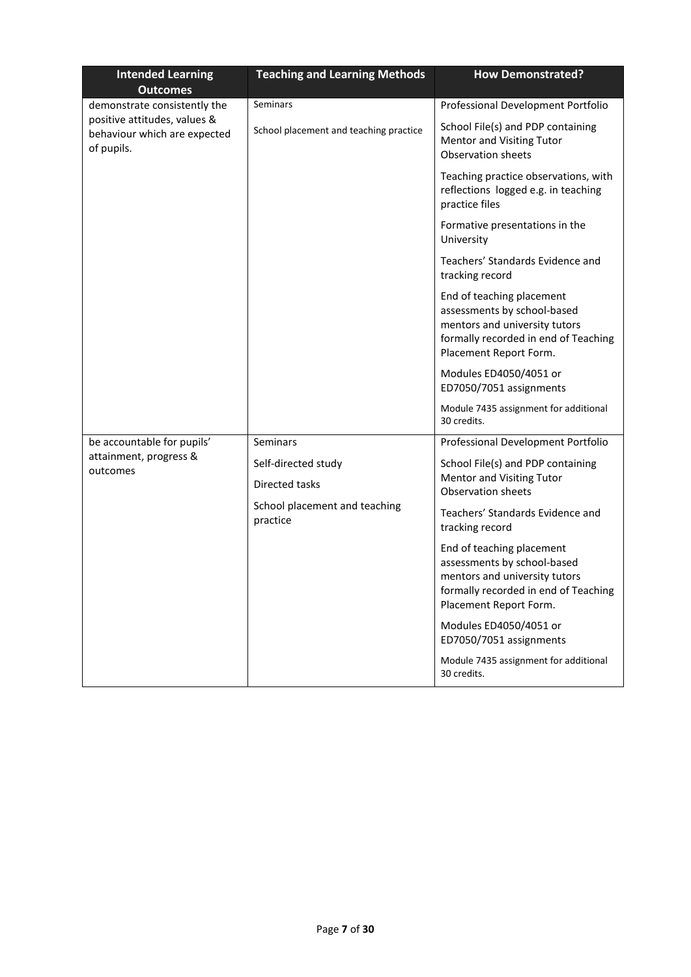| <b>Intended Learning</b>                                                   | <b>Teaching and Learning Methods</b>      | <b>How Demonstrated?</b>                                                                                                                                    |
|----------------------------------------------------------------------------|-------------------------------------------|-------------------------------------------------------------------------------------------------------------------------------------------------------------|
| <b>Outcomes</b><br>demonstrate consistently the                            | Seminars                                  | Professional Development Portfolio                                                                                                                          |
| positive attitudes, values &<br>behaviour which are expected<br>of pupils. | School placement and teaching practice    | School File(s) and PDP containing<br><b>Mentor and Visiting Tutor</b><br><b>Observation sheets</b>                                                          |
|                                                                            |                                           | Teaching practice observations, with<br>reflections logged e.g. in teaching<br>practice files                                                               |
|                                                                            |                                           | Formative presentations in the<br>University                                                                                                                |
|                                                                            |                                           | Teachers' Standards Evidence and<br>tracking record                                                                                                         |
|                                                                            |                                           | End of teaching placement<br>assessments by school-based<br>mentors and university tutors<br>formally recorded in end of Teaching<br>Placement Report Form. |
|                                                                            |                                           | Modules ED4050/4051 or<br>ED7050/7051 assignments                                                                                                           |
|                                                                            |                                           | Module 7435 assignment for additional<br>30 credits.                                                                                                        |
| be accountable for pupils'                                                 | Seminars                                  | Professional Development Portfolio                                                                                                                          |
| attainment, progress &                                                     | Self-directed study                       | School File(s) and PDP containing                                                                                                                           |
| outcomes                                                                   | Directed tasks                            | <b>Mentor and Visiting Tutor</b><br><b>Observation sheets</b>                                                                                               |
|                                                                            | School placement and teaching<br>practice | Teachers' Standards Evidence and<br>tracking record                                                                                                         |
|                                                                            |                                           | End of teaching placement<br>assessments by school-based<br>mentors and university tutors<br>formally recorded in end of Teaching<br>Placement Report Form. |
|                                                                            |                                           | Modules ED4050/4051 or<br>ED7050/7051 assignments                                                                                                           |
|                                                                            |                                           | Module 7435 assignment for additional<br>30 credits.                                                                                                        |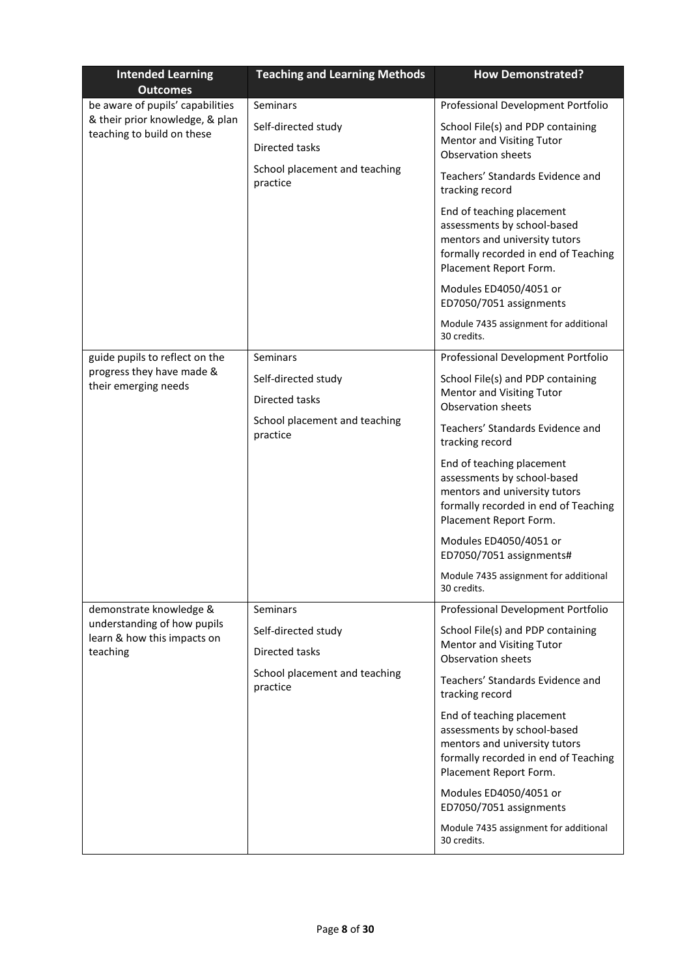| <b>Intended Learning</b><br><b>Outcomes</b>                   | <b>Teaching and Learning Methods</b>      | <b>How Demonstrated?</b>                                                                                                                                    |
|---------------------------------------------------------------|-------------------------------------------|-------------------------------------------------------------------------------------------------------------------------------------------------------------|
| be aware of pupils' capabilities                              | Seminars                                  | Professional Development Portfolio                                                                                                                          |
| & their prior knowledge, & plan<br>teaching to build on these | Self-directed study                       | School File(s) and PDP containing                                                                                                                           |
|                                                               | Directed tasks                            | Mentor and Visiting Tutor<br>Observation sheets                                                                                                             |
|                                                               | School placement and teaching<br>practice | Teachers' Standards Evidence and<br>tracking record                                                                                                         |
|                                                               |                                           | End of teaching placement<br>assessments by school-based<br>mentors and university tutors<br>formally recorded in end of Teaching<br>Placement Report Form. |
|                                                               |                                           | Modules ED4050/4051 or<br>ED7050/7051 assignments                                                                                                           |
|                                                               |                                           | Module 7435 assignment for additional<br>30 credits.                                                                                                        |
| guide pupils to reflect on the                                | Seminars                                  | Professional Development Portfolio                                                                                                                          |
| progress they have made &<br>their emerging needs             | Self-directed study                       | School File(s) and PDP containing                                                                                                                           |
|                                                               | Directed tasks                            | Mentor and Visiting Tutor<br><b>Observation sheets</b>                                                                                                      |
|                                                               | School placement and teaching<br>practice | Teachers' Standards Evidence and<br>tracking record                                                                                                         |
|                                                               |                                           | End of teaching placement<br>assessments by school-based<br>mentors and university tutors<br>formally recorded in end of Teaching<br>Placement Report Form. |
|                                                               |                                           | Modules ED4050/4051 or<br>ED7050/7051 assignments#                                                                                                          |
|                                                               |                                           | Module 7435 assignment for additional<br>30 credits.                                                                                                        |
| demonstrate knowledge &                                       | <b>Seminars</b>                           | Professional Development Portfolio                                                                                                                          |
| understanding of how pupils<br>learn & how this impacts on    | Self-directed study                       | School File(s) and PDP containing                                                                                                                           |
| teaching                                                      | Directed tasks                            | Mentor and Visiting Tutor<br><b>Observation sheets</b>                                                                                                      |
|                                                               | School placement and teaching<br>practice | Teachers' Standards Evidence and<br>tracking record                                                                                                         |
|                                                               |                                           | End of teaching placement<br>assessments by school-based<br>mentors and university tutors<br>formally recorded in end of Teaching<br>Placement Report Form. |
|                                                               |                                           | Modules ED4050/4051 or<br>ED7050/7051 assignments                                                                                                           |
|                                                               |                                           | Module 7435 assignment for additional<br>30 credits.                                                                                                        |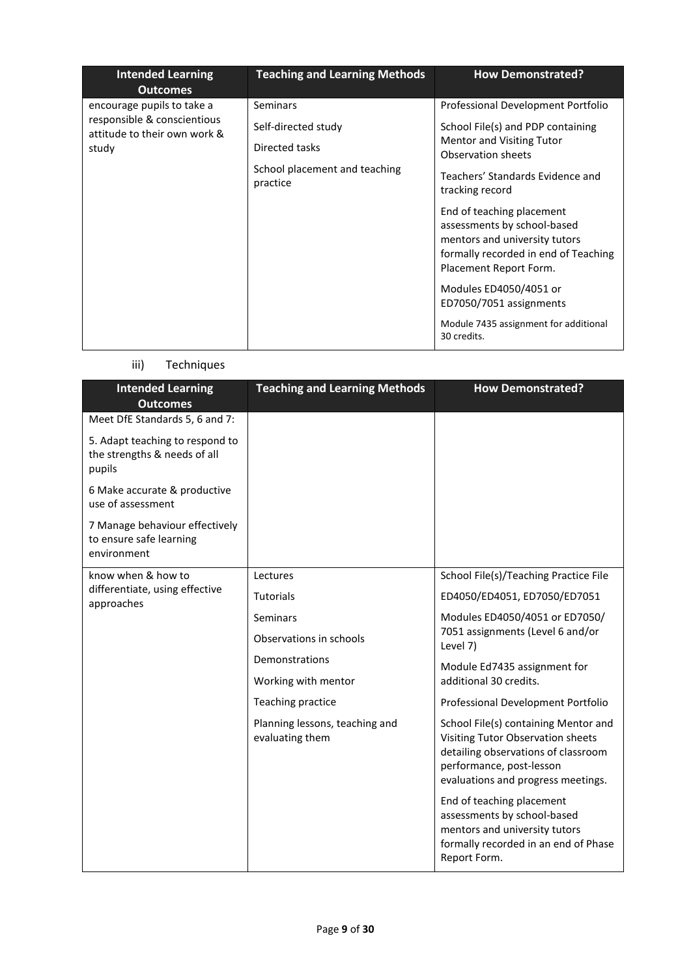| <b>Intended Learning</b><br><b>Outcomes</b>                                                        | <b>Teaching and Learning Methods</b>                                                                  | <b>How Demonstrated?</b>                                                                                                                                                                                                                                                                                                                                                                                                                                      |
|----------------------------------------------------------------------------------------------------|-------------------------------------------------------------------------------------------------------|---------------------------------------------------------------------------------------------------------------------------------------------------------------------------------------------------------------------------------------------------------------------------------------------------------------------------------------------------------------------------------------------------------------------------------------------------------------|
| encourage pupils to take a<br>responsible & conscientious<br>attitude to their own work &<br>study | <b>Seminars</b><br>Self-directed study<br>Directed tasks<br>School placement and teaching<br>practice | Professional Development Portfolio<br>School File(s) and PDP containing<br>Mentor and Visiting Tutor<br>Observation sheets<br>Teachers' Standards Evidence and<br>tracking record<br>End of teaching placement<br>assessments by school-based<br>mentors and university tutors<br>formally recorded in end of Teaching<br>Placement Report Form.<br>Modules ED4050/4051 or<br>ED7050/7051 assignments<br>Module 7435 assignment for additional<br>30 credits. |

# iii) Techniques

| <b>Intended Learning</b><br><b>Outcomes</b>                               | <b>Teaching and Learning Methods</b>              | <b>How Demonstrated?</b>                                                                                                                                                           |
|---------------------------------------------------------------------------|---------------------------------------------------|------------------------------------------------------------------------------------------------------------------------------------------------------------------------------------|
| Meet DfE Standards 5, 6 and 7:                                            |                                                   |                                                                                                                                                                                    |
| 5. Adapt teaching to respond to<br>the strengths & needs of all<br>pupils |                                                   |                                                                                                                                                                                    |
| 6 Make accurate & productive<br>use of assessment                         |                                                   |                                                                                                                                                                                    |
| 7 Manage behaviour effectively<br>to ensure safe learning<br>environment  |                                                   |                                                                                                                                                                                    |
| know when & how to                                                        | Lectures                                          | School File(s)/Teaching Practice File                                                                                                                                              |
| differentiate, using effective<br>approaches                              | <b>Tutorials</b>                                  | ED4050/ED4051, ED7050/ED7051                                                                                                                                                       |
|                                                                           | Seminars                                          | Modules ED4050/4051 or ED7050/                                                                                                                                                     |
|                                                                           | Observations in schools                           | 7051 assignments (Level 6 and/or<br>Level 7)                                                                                                                                       |
|                                                                           | Demonstrations                                    | Module Ed7435 assignment for                                                                                                                                                       |
|                                                                           | Working with mentor                               | additional 30 credits.                                                                                                                                                             |
|                                                                           | Teaching practice                                 | Professional Development Portfolio                                                                                                                                                 |
|                                                                           | Planning lessons, teaching and<br>evaluating them | School File(s) containing Mentor and<br>Visiting Tutor Observation sheets<br>detailing observations of classroom<br>performance, post-lesson<br>evaluations and progress meetings. |
|                                                                           |                                                   | End of teaching placement<br>assessments by school-based<br>mentors and university tutors<br>formally recorded in an end of Phase<br>Report Form.                                  |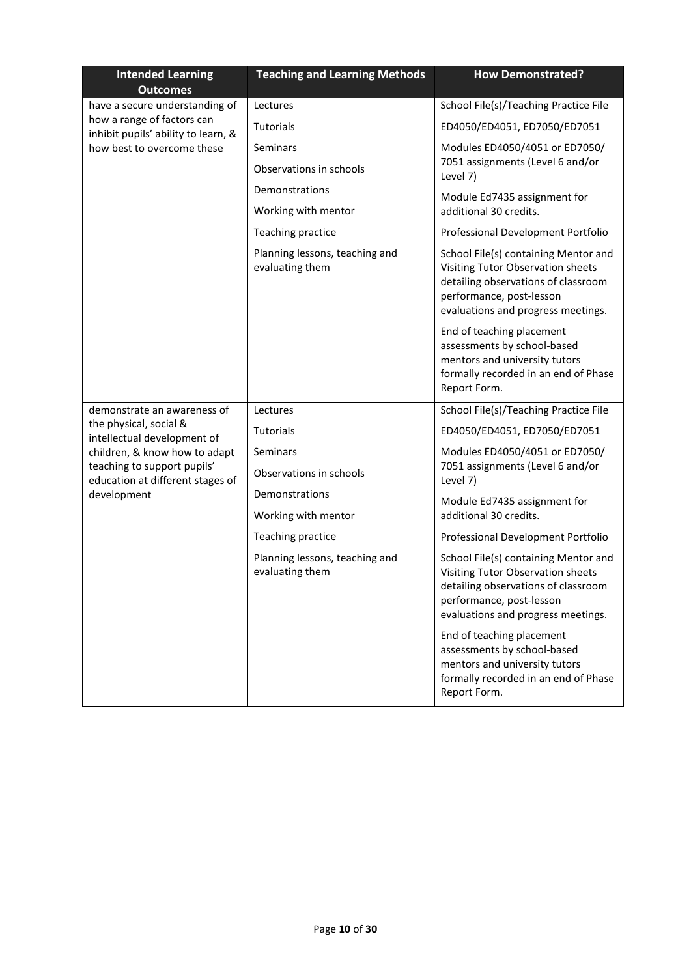| <b>Intended Learning</b><br><b>Outcomes</b>                       | <b>Teaching and Learning Methods</b>              | <b>How Demonstrated?</b>                                                                                                                                                           |
|-------------------------------------------------------------------|---------------------------------------------------|------------------------------------------------------------------------------------------------------------------------------------------------------------------------------------|
| have a secure understanding of                                    | Lectures                                          | School File(s)/Teaching Practice File                                                                                                                                              |
| how a range of factors can<br>inhibit pupils' ability to learn, & | Tutorials                                         | ED4050/ED4051, ED7050/ED7051                                                                                                                                                       |
| how best to overcome these                                        | Seminars                                          | Modules ED4050/4051 or ED7050/                                                                                                                                                     |
|                                                                   | Observations in schools                           | 7051 assignments (Level 6 and/or<br>Level 7)                                                                                                                                       |
|                                                                   | Demonstrations                                    | Module Ed7435 assignment for                                                                                                                                                       |
|                                                                   | Working with mentor                               | additional 30 credits.                                                                                                                                                             |
|                                                                   | Teaching practice                                 | Professional Development Portfolio                                                                                                                                                 |
|                                                                   | Planning lessons, teaching and<br>evaluating them | School File(s) containing Mentor and<br>Visiting Tutor Observation sheets<br>detailing observations of classroom<br>performance, post-lesson<br>evaluations and progress meetings. |
|                                                                   |                                                   | End of teaching placement<br>assessments by school-based<br>mentors and university tutors<br>formally recorded in an end of Phase<br>Report Form.                                  |
| demonstrate an awareness of                                       | Lectures                                          | School File(s)/Teaching Practice File                                                                                                                                              |
| the physical, social &<br>intellectual development of             | <b>Tutorials</b>                                  | ED4050/ED4051, ED7050/ED7051                                                                                                                                                       |
| children, & know how to adapt                                     | Seminars                                          | Modules ED4050/4051 or ED7050/                                                                                                                                                     |
| teaching to support pupils'<br>education at different stages of   | Observations in schools                           | 7051 assignments (Level 6 and/or<br>Level 7)                                                                                                                                       |
| development                                                       | Demonstrations                                    | Module Ed7435 assignment for                                                                                                                                                       |
|                                                                   | Working with mentor                               | additional 30 credits.                                                                                                                                                             |
|                                                                   | Teaching practice                                 | Professional Development Portfolio                                                                                                                                                 |
|                                                                   | Planning lessons, teaching and<br>evaluating them | School File(s) containing Mentor and<br>Visiting Tutor Observation sheets<br>detailing observations of classroom<br>performance, post-lesson<br>evaluations and progress meetings. |
|                                                                   |                                                   | End of teaching placement<br>assessments by school-based<br>mentors and university tutors<br>formally recorded in an end of Phase<br>Report Form.                                  |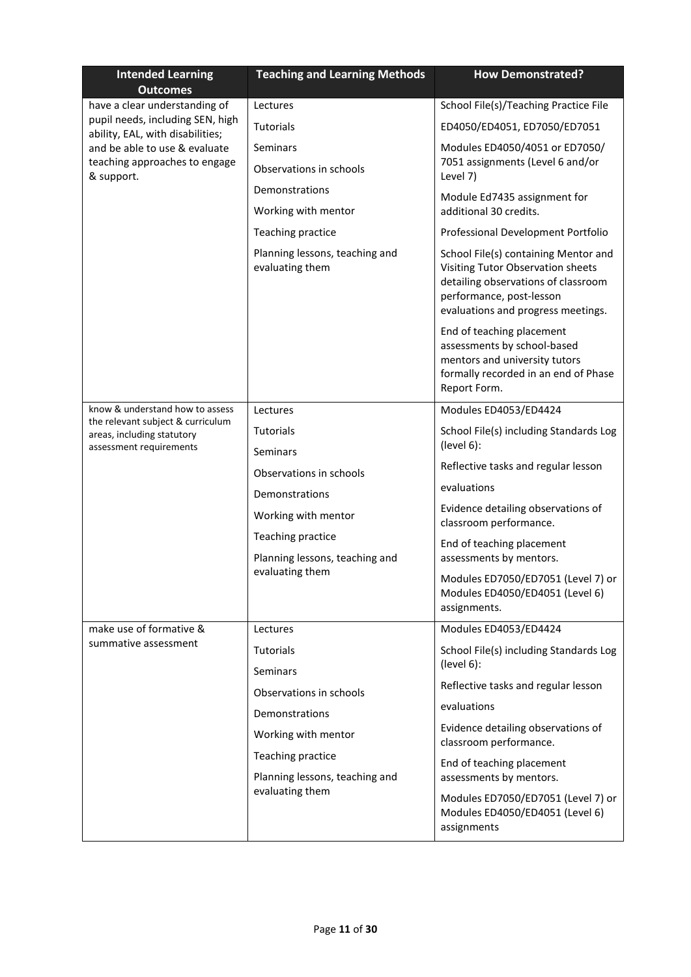| <b>Intended Learning</b><br><b>Outcomes</b>                                                           | <b>Teaching and Learning Methods</b>              | <b>How Demonstrated?</b>                                                                                                                                                           |
|-------------------------------------------------------------------------------------------------------|---------------------------------------------------|------------------------------------------------------------------------------------------------------------------------------------------------------------------------------------|
| have a clear understanding of                                                                         | Lectures                                          | School File(s)/Teaching Practice File                                                                                                                                              |
| pupil needs, including SEN, high<br>ability, EAL, with disabilities;<br>and be able to use & evaluate | Tutorials                                         | ED4050/ED4051, ED7050/ED7051                                                                                                                                                       |
|                                                                                                       | Seminars                                          | Modules ED4050/4051 or ED7050/                                                                                                                                                     |
| teaching approaches to engage<br>& support.                                                           | Observations in schools                           | 7051 assignments (Level 6 and/or<br>Level 7)                                                                                                                                       |
|                                                                                                       | Demonstrations                                    | Module Ed7435 assignment for                                                                                                                                                       |
|                                                                                                       | Working with mentor                               | additional 30 credits.                                                                                                                                                             |
|                                                                                                       | Teaching practice                                 | Professional Development Portfolio                                                                                                                                                 |
|                                                                                                       | Planning lessons, teaching and<br>evaluating them | School File(s) containing Mentor and<br>Visiting Tutor Observation sheets<br>detailing observations of classroom<br>performance, post-lesson<br>evaluations and progress meetings. |
|                                                                                                       |                                                   | End of teaching placement<br>assessments by school-based<br>mentors and university tutors<br>formally recorded in an end of Phase<br>Report Form.                                  |
| know & understand how to assess<br>the relevant subject & curriculum                                  | Lectures                                          | Modules ED4053/ED4424                                                                                                                                                              |
| areas, including statutory<br>assessment requirements                                                 | <b>Tutorials</b>                                  | School File(s) including Standards Log<br>(level 6):                                                                                                                               |
|                                                                                                       | Seminars                                          | Reflective tasks and regular lesson                                                                                                                                                |
|                                                                                                       | Observations in schools                           | evaluations                                                                                                                                                                        |
|                                                                                                       | Demonstrations<br>Working with mentor             | Evidence detailing observations of<br>classroom performance.                                                                                                                       |
|                                                                                                       | Teaching practice                                 | End of teaching placement                                                                                                                                                          |
|                                                                                                       | Planning lessons, teaching and<br>evaluating them | assessments by mentors.                                                                                                                                                            |
|                                                                                                       |                                                   | Modules ED7050/ED7051 (Level 7) or<br>Modules ED4050/ED4051 (Level 6)<br>assignments.                                                                                              |
| make use of formative &                                                                               | Lectures                                          | Modules ED4053/ED4424                                                                                                                                                              |
| summative assessment                                                                                  | Tutorials                                         | School File(s) including Standards Log                                                                                                                                             |
|                                                                                                       | Seminars                                          | (level 6):                                                                                                                                                                         |
|                                                                                                       | Observations in schools                           | Reflective tasks and regular lesson                                                                                                                                                |
|                                                                                                       | Demonstrations                                    | evaluations                                                                                                                                                                        |
|                                                                                                       | Working with mentor                               | Evidence detailing observations of<br>classroom performance.                                                                                                                       |
|                                                                                                       | Teaching practice                                 | End of teaching placement                                                                                                                                                          |
|                                                                                                       | Planning lessons, teaching and                    | assessments by mentors.                                                                                                                                                            |
|                                                                                                       | evaluating them                                   | Modules ED7050/ED7051 (Level 7) or<br>Modules ED4050/ED4051 (Level 6)<br>assignments                                                                                               |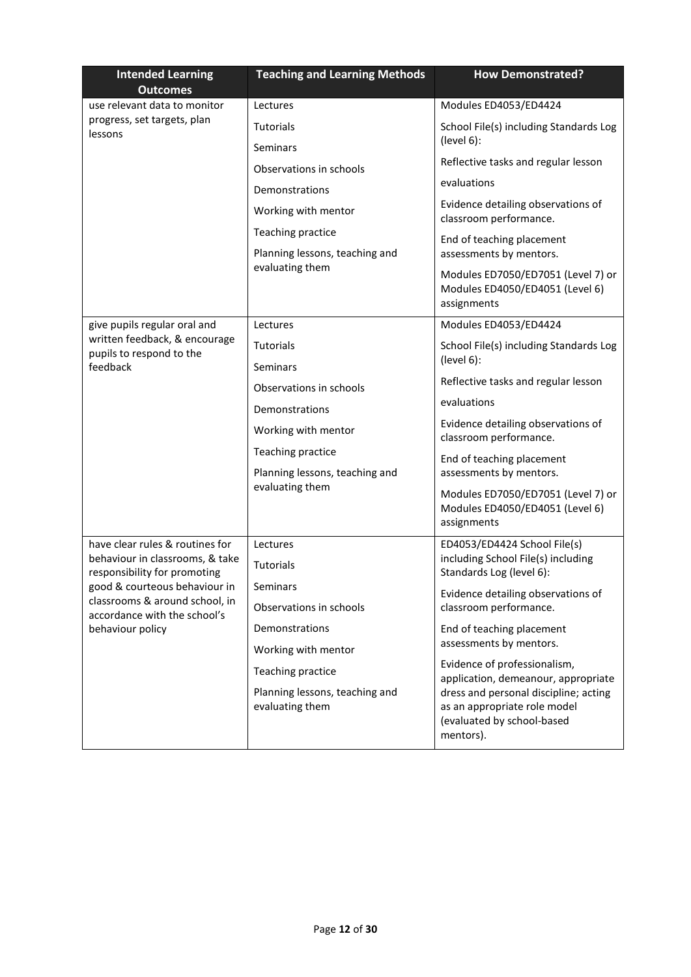| <b>Intended Learning</b><br><b>Outcomes</b>                                        | <b>Teaching and Learning Methods</b>                | <b>How Demonstrated?</b>                                                                                         |
|------------------------------------------------------------------------------------|-----------------------------------------------------|------------------------------------------------------------------------------------------------------------------|
| use relevant data to monitor                                                       | Lectures                                            | Modules ED4053/ED4424                                                                                            |
| progress, set targets, plan<br>lessons                                             | <b>Tutorials</b>                                    | School File(s) including Standards Log                                                                           |
|                                                                                    | Seminars                                            | (level 6):                                                                                                       |
|                                                                                    | Observations in schools                             | Reflective tasks and regular lesson                                                                              |
|                                                                                    | Demonstrations                                      | evaluations                                                                                                      |
|                                                                                    | Working with mentor                                 | Evidence detailing observations of<br>classroom performance.                                                     |
|                                                                                    | Teaching practice<br>Planning lessons, teaching and | End of teaching placement<br>assessments by mentors.                                                             |
|                                                                                    | evaluating them                                     | Modules ED7050/ED7051 (Level 7) or<br>Modules ED4050/ED4051 (Level 6)<br>assignments                             |
| give pupils regular oral and                                                       | Lectures                                            | Modules ED4053/ED4424                                                                                            |
| written feedback, & encourage<br>pupils to respond to the                          | <b>Tutorials</b>                                    | School File(s) including Standards Log                                                                           |
| feedback                                                                           | Seminars                                            | (level 6):                                                                                                       |
|                                                                                    | Observations in schools                             | Reflective tasks and regular lesson                                                                              |
|                                                                                    | Demonstrations                                      | evaluations                                                                                                      |
|                                                                                    | Working with mentor                                 | Evidence detailing observations of<br>classroom performance.                                                     |
|                                                                                    | Teaching practice                                   | End of teaching placement                                                                                        |
|                                                                                    | Planning lessons, teaching and                      | assessments by mentors.                                                                                          |
|                                                                                    | evaluating them                                     | Modules ED7050/ED7051 (Level 7) or<br>Modules ED4050/ED4051 (Level 6)<br>assignments                             |
| have clear rules & routines for                                                    | Lectures                                            | ED4053/ED4424 School File(s)                                                                                     |
| behaviour in classrooms, & take<br>responsibility for promoting                    | Tutorials                                           | including School File(s) including<br>Standards Log (level 6):                                                   |
| good & courteous behaviour in                                                      | Seminars                                            | Evidence detailing observations of                                                                               |
| classrooms & around school, in<br>accordance with the school's<br>behaviour policy | Observations in schools                             | classroom performance.                                                                                           |
|                                                                                    | Demonstrations                                      | End of teaching placement                                                                                        |
|                                                                                    | Working with mentor                                 | assessments by mentors.                                                                                          |
|                                                                                    | Teaching practice                                   | Evidence of professionalism,<br>application, demeanour, appropriate                                              |
|                                                                                    | Planning lessons, teaching and<br>evaluating them   | dress and personal discipline; acting<br>as an appropriate role model<br>(evaluated by school-based<br>mentors). |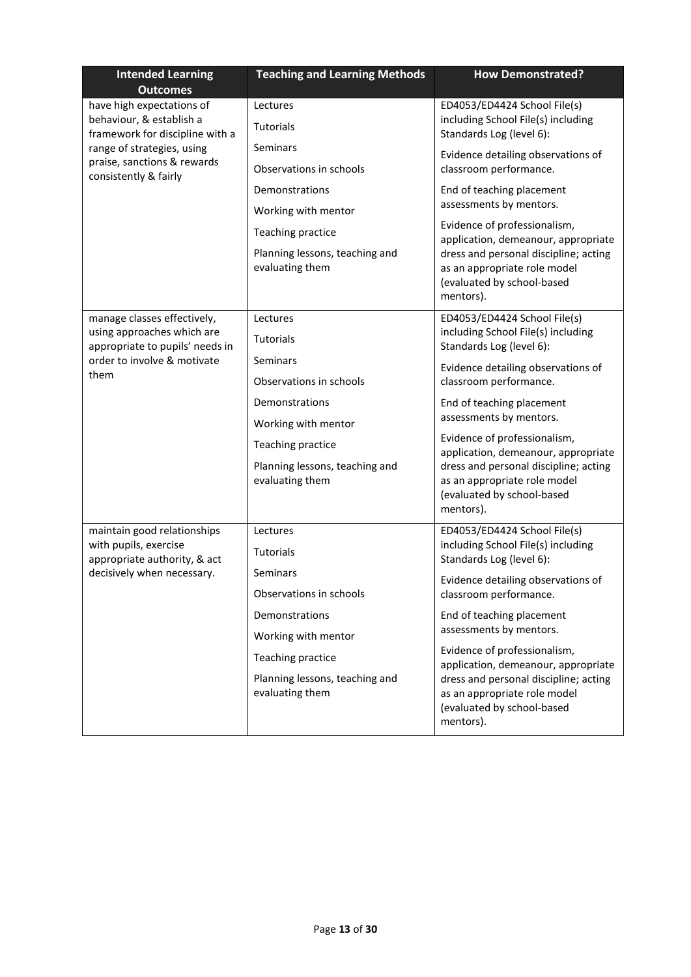| <b>Intended Learning</b><br><b>Outcomes</b>                                              | <b>Teaching and Learning Methods</b>                                                                                                | <b>How Demonstrated?</b>                                                                                                                                                                                                             |
|------------------------------------------------------------------------------------------|-------------------------------------------------------------------------------------------------------------------------------------|--------------------------------------------------------------------------------------------------------------------------------------------------------------------------------------------------------------------------------------|
| have high expectations of<br>behaviour, & establish a<br>framework for discipline with a | Lectures<br><b>Tutorials</b>                                                                                                        | ED4053/ED4424 School File(s)<br>including School File(s) including<br>Standards Log (level 6):                                                                                                                                       |
| range of strategies, using<br>praise, sanctions & rewards<br>consistently & fairly       | Seminars<br>Observations in schools<br>Demonstrations<br>Working with mentor<br>Teaching practice<br>Planning lessons, teaching and | Evidence detailing observations of<br>classroom performance.<br>End of teaching placement<br>assessments by mentors.<br>Evidence of professionalism,<br>application, demeanour, appropriate<br>dress and personal discipline; acting |
|                                                                                          | evaluating them                                                                                                                     | as an appropriate role model<br>(evaluated by school-based<br>mentors).                                                                                                                                                              |
| manage classes effectively,<br>using approaches which are                                | Lectures                                                                                                                            | ED4053/ED4424 School File(s)<br>including School File(s) including                                                                                                                                                                   |
| appropriate to pupils' needs in<br>order to involve & motivate<br>them                   | <b>Tutorials</b><br>Seminars                                                                                                        | Standards Log (level 6):<br>Evidence detailing observations of                                                                                                                                                                       |
|                                                                                          | Observations in schools<br>Demonstrations<br>Working with mentor                                                                    | classroom performance.<br>End of teaching placement<br>assessments by mentors.                                                                                                                                                       |
|                                                                                          | Teaching practice<br>Planning lessons, teaching and<br>evaluating them                                                              | Evidence of professionalism,<br>application, demeanour, appropriate<br>dress and personal discipline; acting<br>as an appropriate role model<br>(evaluated by school-based<br>mentors).                                              |
| maintain good relationships<br>with pupils, exercise<br>appropriate authority, & act     | Lectures<br>Tutorials                                                                                                               | ED4053/ED4424 School File(s)<br>including School File(s) including<br>Standards Log (level 6):                                                                                                                                       |
| decisively when necessary.                                                               | Seminars<br>Observations in schools                                                                                                 | Evidence detailing observations of<br>classroom performance.                                                                                                                                                                         |
|                                                                                          | Demonstrations<br>Working with mentor                                                                                               | End of teaching placement<br>assessments by mentors.                                                                                                                                                                                 |
|                                                                                          | Teaching practice<br>Planning lessons, teaching and<br>evaluating them                                                              | Evidence of professionalism,<br>application, demeanour, appropriate<br>dress and personal discipline; acting<br>as an appropriate role model<br>(evaluated by school-based<br>mentors).                                              |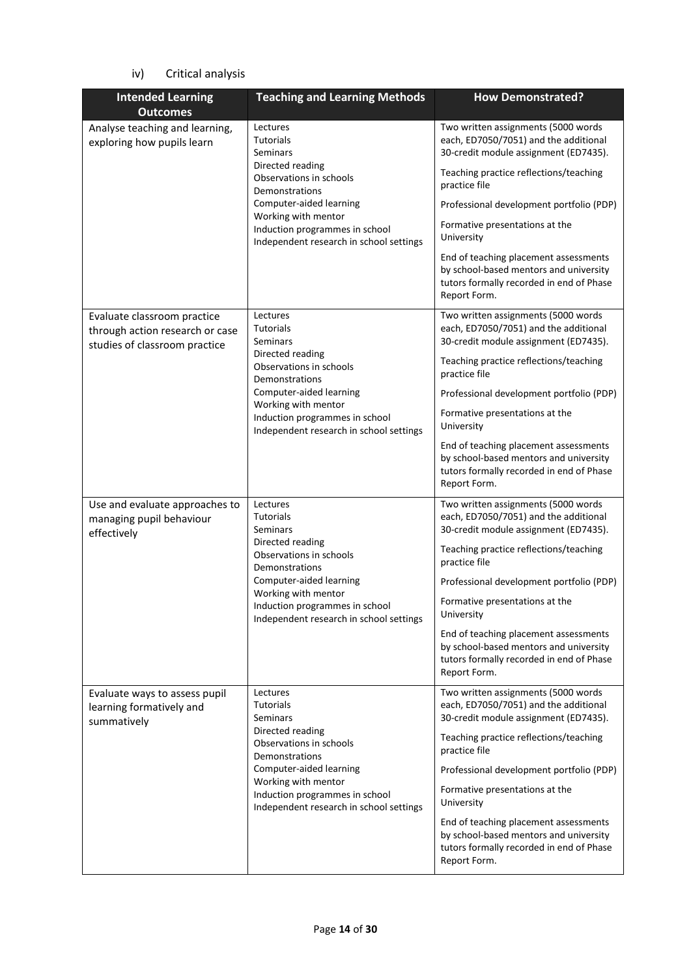### iv) Critical analysis

| <b>Intended Learning</b>                                                                        | <b>Teaching and Learning Methods</b>                                                                                                                                                                                                     | <b>How Demonstrated?</b>                                                                                                                                                                                                                                                                                                                                                                                                    |
|-------------------------------------------------------------------------------------------------|------------------------------------------------------------------------------------------------------------------------------------------------------------------------------------------------------------------------------------------|-----------------------------------------------------------------------------------------------------------------------------------------------------------------------------------------------------------------------------------------------------------------------------------------------------------------------------------------------------------------------------------------------------------------------------|
| <b>Outcomes</b>                                                                                 |                                                                                                                                                                                                                                          |                                                                                                                                                                                                                                                                                                                                                                                                                             |
| Analyse teaching and learning,<br>exploring how pupils learn                                    | Lectures<br><b>Tutorials</b><br>Seminars<br>Directed reading<br>Observations in schools<br>Demonstrations<br>Computer-aided learning<br>Working with mentor<br>Induction programmes in school<br>Independent research in school settings | Two written assignments (5000 words<br>each, ED7050/7051) and the additional<br>30-credit module assignment (ED7435).<br>Teaching practice reflections/teaching<br>practice file<br>Professional development portfolio (PDP)<br>Formative presentations at the<br>University<br>End of teaching placement assessments<br>by school-based mentors and university<br>tutors formally recorded in end of Phase<br>Report Form. |
| Evaluate classroom practice<br>through action research or case<br>studies of classroom practice | Lectures<br><b>Tutorials</b><br>Seminars<br>Directed reading<br>Observations in schools<br>Demonstrations<br>Computer-aided learning<br>Working with mentor<br>Induction programmes in school<br>Independent research in school settings | Two written assignments (5000 words<br>each, ED7050/7051) and the additional<br>30-credit module assignment (ED7435).<br>Teaching practice reflections/teaching<br>practice file<br>Professional development portfolio (PDP)<br>Formative presentations at the<br>University<br>End of teaching placement assessments<br>by school-based mentors and university<br>tutors formally recorded in end of Phase<br>Report Form. |
| Use and evaluate approaches to<br>managing pupil behaviour<br>effectively                       | Lectures<br><b>Tutorials</b><br>Seminars<br>Directed reading<br>Observations in schools<br>Demonstrations<br>Computer-aided learning<br>Working with mentor<br>Induction programmes in school<br>Independent research in school settings | Two written assignments (5000 words<br>each, ED7050/7051) and the additional<br>30-credit module assignment (ED7435).<br>Teaching practice reflections/teaching<br>practice file<br>Professional development portfolio (PDP)<br>Formative presentations at the<br>University<br>End of teaching placement assessments<br>by school-based mentors and university<br>tutors formally recorded in end of Phase<br>Report Form. |
| Evaluate ways to assess pupil<br>learning formatively and<br>summatively                        | Lectures<br><b>Tutorials</b><br>Seminars<br>Directed reading<br>Observations in schools<br>Demonstrations<br>Computer-aided learning<br>Working with mentor<br>Induction programmes in school<br>Independent research in school settings | Two written assignments (5000 words<br>each, ED7050/7051) and the additional<br>30-credit module assignment (ED7435).<br>Teaching practice reflections/teaching<br>practice file<br>Professional development portfolio (PDP)<br>Formative presentations at the<br>University<br>End of teaching placement assessments<br>by school-based mentors and university<br>tutors formally recorded in end of Phase<br>Report Form. |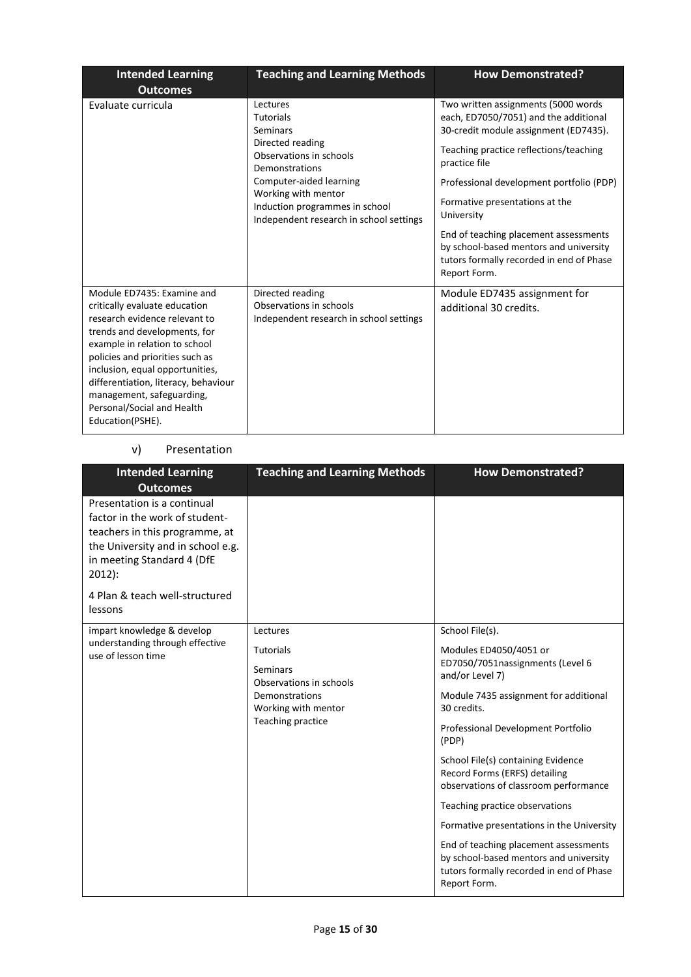| <b>Intended Learning</b><br><b>Outcomes</b>                                                                                                                                                                                                                                                                                                                | <b>Teaching and Learning Methods</b>                                                                                                                                                                                                     | <b>How Demonstrated?</b>                                                                                                                                                                                                                                                                                                                                                                                                    |
|------------------------------------------------------------------------------------------------------------------------------------------------------------------------------------------------------------------------------------------------------------------------------------------------------------------------------------------------------------|------------------------------------------------------------------------------------------------------------------------------------------------------------------------------------------------------------------------------------------|-----------------------------------------------------------------------------------------------------------------------------------------------------------------------------------------------------------------------------------------------------------------------------------------------------------------------------------------------------------------------------------------------------------------------------|
| Evaluate curricula                                                                                                                                                                                                                                                                                                                                         | Lectures<br><b>Tutorials</b><br>Seminars<br>Directed reading<br>Observations in schools<br>Demonstrations<br>Computer-aided learning<br>Working with mentor<br>Induction programmes in school<br>Independent research in school settings | Two written assignments (5000 words<br>each, ED7050/7051) and the additional<br>30-credit module assignment (ED7435).<br>Teaching practice reflections/teaching<br>practice file<br>Professional development portfolio (PDP)<br>Formative presentations at the<br>University<br>End of teaching placement assessments<br>by school-based mentors and university<br>tutors formally recorded in end of Phase<br>Report Form. |
| Module ED7435: Examine and<br>critically evaluate education<br>research evidence relevant to<br>trends and developments, for<br>example in relation to school<br>policies and priorities such as<br>inclusion, equal opportunities,<br>differentiation, literacy, behaviour<br>management, safeguarding,<br>Personal/Social and Health<br>Education(PSHE). | Directed reading<br>Observations in schools<br>Independent research in school settings                                                                                                                                                   | Module ED7435 assignment for<br>additional 30 credits.                                                                                                                                                                                                                                                                                                                                                                      |

### v) Presentation

| <b>Intended Learning</b><br><b>Outcomes</b>                                                                                                                                                                                 | <b>Teaching and Learning Methods</b>                                                                                              | <b>How Demonstrated?</b>                                                                                                                                                                                                                                                                                                                                                                                                                                                                                                                              |
|-----------------------------------------------------------------------------------------------------------------------------------------------------------------------------------------------------------------------------|-----------------------------------------------------------------------------------------------------------------------------------|-------------------------------------------------------------------------------------------------------------------------------------------------------------------------------------------------------------------------------------------------------------------------------------------------------------------------------------------------------------------------------------------------------------------------------------------------------------------------------------------------------------------------------------------------------|
| Presentation is a continual<br>factor in the work of student-<br>teachers in this programme, at<br>the University and in school e.g.<br>in meeting Standard 4 (DfE<br>$2012$ :<br>4 Plan & teach well-structured<br>lessons |                                                                                                                                   |                                                                                                                                                                                                                                                                                                                                                                                                                                                                                                                                                       |
| impart knowledge & develop<br>understanding through effective<br>use of lesson time                                                                                                                                         | Lectures<br><b>Tutorials</b><br>Seminars<br>Observations in schools<br>Demonstrations<br>Working with mentor<br>Teaching practice | School File(s).<br>Modules ED4050/4051 or<br>ED7050/7051nassignments (Level 6<br>and/or Level 7)<br>Module 7435 assignment for additional<br>30 credits.<br>Professional Development Portfolio<br>(PDP)<br>School File(s) containing Evidence<br>Record Forms (ERFS) detailing<br>observations of classroom performance<br>Teaching practice observations<br>Formative presentations in the University<br>End of teaching placement assessments<br>by school-based mentors and university<br>tutors formally recorded in end of Phase<br>Report Form. |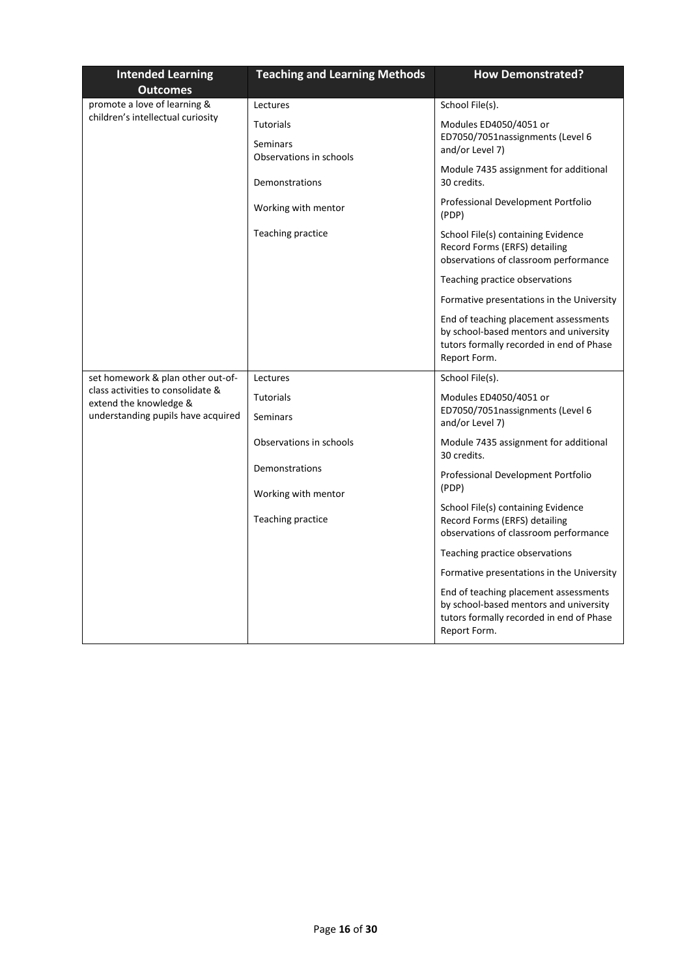| <b>Intended Learning</b><br><b>Outcomes</b>                 | <b>Teaching and Learning Methods</b>             | <b>How Demonstrated?</b>                                                                                                                    |
|-------------------------------------------------------------|--------------------------------------------------|---------------------------------------------------------------------------------------------------------------------------------------------|
| promote a love of learning &                                | Lectures                                         | School File(s).                                                                                                                             |
| children's intellectual curiosity                           | Tutorials<br>Seminars<br>Observations in schools | Modules ED4050/4051 or<br>ED7050/7051nassignments (Level 6<br>and/or Level 7)                                                               |
|                                                             | Demonstrations                                   | Module 7435 assignment for additional<br>30 credits.                                                                                        |
|                                                             | Working with mentor                              | Professional Development Portfolio<br>(PDP)                                                                                                 |
|                                                             | Teaching practice                                | School File(s) containing Evidence<br>Record Forms (ERFS) detailing<br>observations of classroom performance                                |
|                                                             |                                                  | Teaching practice observations                                                                                                              |
|                                                             |                                                  | Formative presentations in the University                                                                                                   |
|                                                             |                                                  | End of teaching placement assessments<br>by school-based mentors and university<br>tutors formally recorded in end of Phase<br>Report Form. |
| set homework & plan other out-of-                           | Lectures                                         | School File(s).                                                                                                                             |
| class activities to consolidate &<br>extend the knowledge & | <b>Tutorials</b>                                 | Modules ED4050/4051 or                                                                                                                      |
| understanding pupils have acquired                          | Seminars                                         | ED7050/7051nassignments (Level 6<br>and/or Level 7)                                                                                         |
|                                                             | Observations in schools                          | Module 7435 assignment for additional<br>30 credits.                                                                                        |
|                                                             | Demonstrations                                   | Professional Development Portfolio<br>(PDP)                                                                                                 |
|                                                             | Working with mentor                              | School File(s) containing Evidence                                                                                                          |
|                                                             | Teaching practice                                | Record Forms (ERFS) detailing<br>observations of classroom performance                                                                      |
|                                                             |                                                  | Teaching practice observations                                                                                                              |
|                                                             |                                                  | Formative presentations in the University                                                                                                   |
|                                                             |                                                  | End of teaching placement assessments<br>by school-based mentors and university<br>tutors formally recorded in end of Phase<br>Report Form. |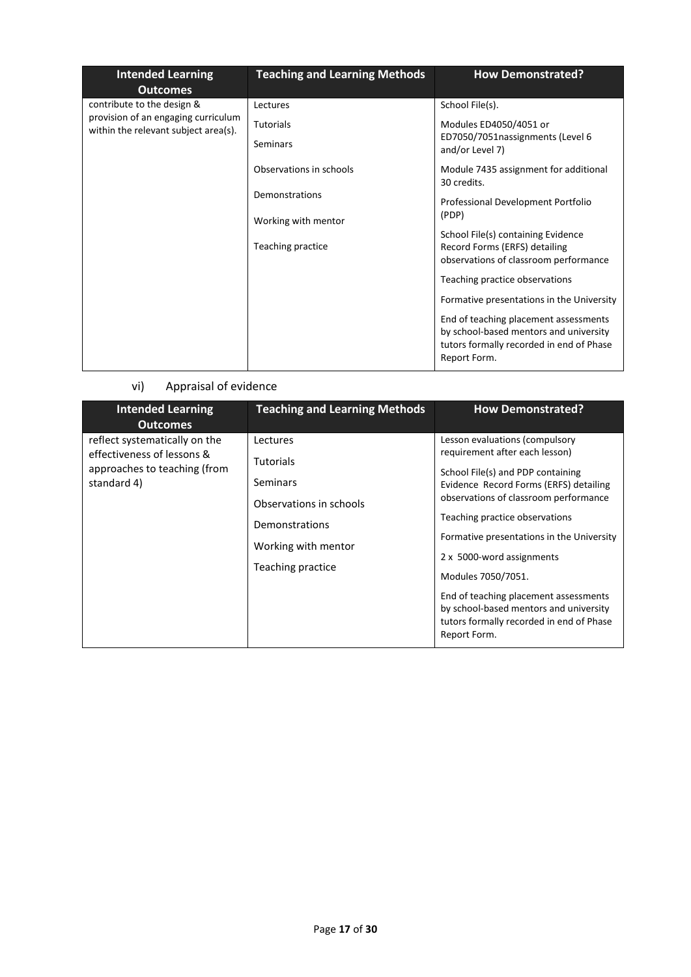| <b>Intended Learning</b><br><b>Outcomes</b>                                 | <b>Teaching and Learning Methods</b> | <b>How Demonstrated?</b>                                                                                                                    |
|-----------------------------------------------------------------------------|--------------------------------------|---------------------------------------------------------------------------------------------------------------------------------------------|
| contribute to the design &                                                  | Lectures                             | School File(s).                                                                                                                             |
| provision of an engaging curriculum<br>within the relevant subject area(s). | <b>Tutorials</b>                     | Modules ED4050/4051 or                                                                                                                      |
|                                                                             | Seminars                             | ED7050/7051nassignments (Level 6<br>and/or Level 7)                                                                                         |
|                                                                             | Observations in schools              | Module 7435 assignment for additional<br>30 credits.                                                                                        |
|                                                                             | Demonstrations                       | Professional Development Portfolio                                                                                                          |
|                                                                             | Working with mentor                  | (PDP)                                                                                                                                       |
|                                                                             | Teaching practice                    | School File(s) containing Evidence<br>Record Forms (ERFS) detailing<br>observations of classroom performance                                |
|                                                                             |                                      | Teaching practice observations                                                                                                              |
|                                                                             |                                      | Formative presentations in the University                                                                                                   |
|                                                                             |                                      | End of teaching placement assessments<br>by school-based mentors and university<br>tutors formally recorded in end of Phase<br>Report Form. |

### vi) Appraisal of evidence

| <b>Intended Learning</b><br><b>Outcomes</b>                                                                | <b>Teaching and Learning Methods</b>                                                                                                     | <b>How Demonstrated?</b>                                                                                                                                                                                                                                                                                                                                                                                                                                                  |
|------------------------------------------------------------------------------------------------------------|------------------------------------------------------------------------------------------------------------------------------------------|---------------------------------------------------------------------------------------------------------------------------------------------------------------------------------------------------------------------------------------------------------------------------------------------------------------------------------------------------------------------------------------------------------------------------------------------------------------------------|
| reflect systematically on the<br>effectiveness of lessons &<br>approaches to teaching (from<br>standard 4) | Lectures<br><b>Tutorials</b><br><b>Seminars</b><br>Observations in schools<br>Demonstrations<br>Working with mentor<br>Teaching practice | Lesson evaluations (compulsory<br>requirement after each lesson)<br>School File(s) and PDP containing<br>Evidence Record Forms (ERFS) detailing<br>observations of classroom performance<br>Teaching practice observations<br>Formative presentations in the University<br>2 x 5000-word assignments<br>Modules 7050/7051.<br>End of teaching placement assessments<br>by school-based mentors and university<br>tutors formally recorded in end of Phase<br>Report Form. |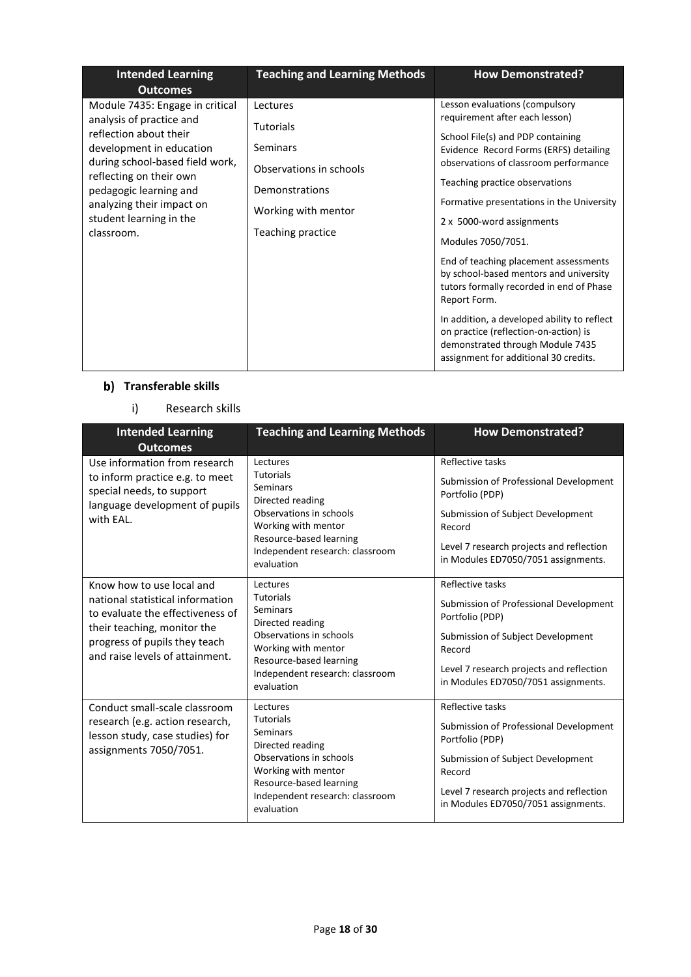| <b>Intended Learning</b><br><b>Outcomes</b>                                                                                                                                                                                                                                     | <b>Teaching and Learning Methods</b>                                                                                                     | <b>How Demonstrated?</b>                                                                                                                                                                                                                                                                                                                                                                                                                                                                                                                                                                                                                       |
|---------------------------------------------------------------------------------------------------------------------------------------------------------------------------------------------------------------------------------------------------------------------------------|------------------------------------------------------------------------------------------------------------------------------------------|------------------------------------------------------------------------------------------------------------------------------------------------------------------------------------------------------------------------------------------------------------------------------------------------------------------------------------------------------------------------------------------------------------------------------------------------------------------------------------------------------------------------------------------------------------------------------------------------------------------------------------------------|
| Module 7435: Engage in critical<br>analysis of practice and<br>reflection about their<br>development in education<br>during school-based field work,<br>reflecting on their own<br>pedagogic learning and<br>analyzing their impact on<br>student learning in the<br>classroom. | Lectures<br><b>Tutorials</b><br><b>Seminars</b><br>Observations in schools<br>Demonstrations<br>Working with mentor<br>Teaching practice | Lesson evaluations (compulsory<br>requirement after each lesson)<br>School File(s) and PDP containing<br>Evidence Record Forms (ERFS) detailing<br>observations of classroom performance<br>Teaching practice observations<br>Formative presentations in the University<br>2 x 5000-word assignments<br>Modules 7050/7051.<br>End of teaching placement assessments<br>by school-based mentors and university<br>tutors formally recorded in end of Phase<br>Report Form.<br>In addition, a developed ability to reflect<br>on practice (reflection-on-action) is<br>demonstrated through Module 7435<br>assignment for additional 30 credits. |

### **b)** Transferable skills

i) Research skills

| <b>Intended Learning</b><br><b>Outcomes</b>                                                                                                                                                          | <b>Teaching and Learning Methods</b>                                                                                                                                                       | <b>How Demonstrated?</b>                                                                                                                                                                                        |
|------------------------------------------------------------------------------------------------------------------------------------------------------------------------------------------------------|--------------------------------------------------------------------------------------------------------------------------------------------------------------------------------------------|-----------------------------------------------------------------------------------------------------------------------------------------------------------------------------------------------------------------|
| Use information from research<br>to inform practice e.g. to meet<br>special needs, to support<br>language development of pupils<br>with EAL.                                                         | Lectures<br><b>Tutorials</b><br>Seminars<br>Directed reading<br>Observations in schools<br>Working with mentor<br>Resource-based learning<br>Independent research: classroom<br>evaluation | Reflective tasks<br>Submission of Professional Development<br>Portfolio (PDP)<br>Submission of Subject Development<br>Record<br>Level 7 research projects and reflection<br>in Modules ED7050/7051 assignments. |
| Know how to use local and<br>national statistical information<br>to evaluate the effectiveness of<br>their teaching, monitor the<br>progress of pupils they teach<br>and raise levels of attainment. | Lectures<br><b>Tutorials</b><br>Seminars<br>Directed reading<br>Observations in schools<br>Working with mentor<br>Resource-based learning<br>Independent research: classroom<br>evaluation | Reflective tasks<br>Submission of Professional Development<br>Portfolio (PDP)<br>Submission of Subject Development<br>Record<br>Level 7 research projects and reflection<br>in Modules ED7050/7051 assignments. |
| Conduct small-scale classroom<br>research (e.g. action research,<br>lesson study, case studies) for<br>assignments 7050/7051.                                                                        | Lectures<br><b>Tutorials</b><br>Seminars<br>Directed reading<br>Observations in schools<br>Working with mentor<br>Resource-based learning<br>Independent research: classroom<br>evaluation | Reflective tasks<br>Submission of Professional Development<br>Portfolio (PDP)<br>Submission of Subject Development<br>Record<br>Level 7 research projects and reflection<br>in Modules ED7050/7051 assignments. |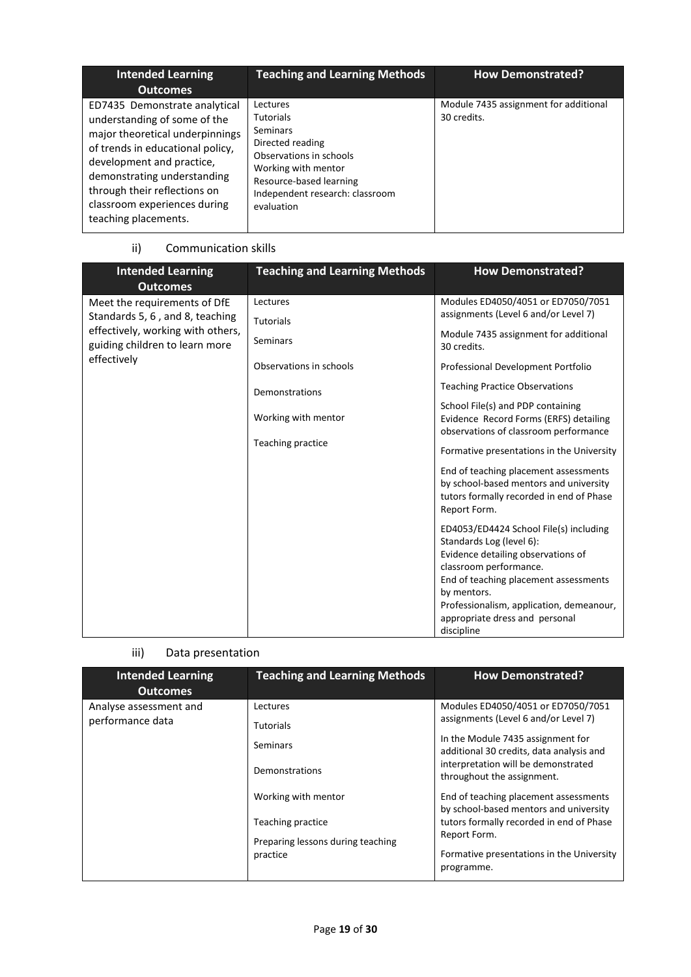| <b>Intended Learning</b><br><b>Outcomes</b>                                                                                                                                                                                                                                              | <b>Teaching and Learning Methods</b>                                                                                                                                                       | <b>How Demonstrated?</b>                             |
|------------------------------------------------------------------------------------------------------------------------------------------------------------------------------------------------------------------------------------------------------------------------------------------|--------------------------------------------------------------------------------------------------------------------------------------------------------------------------------------------|------------------------------------------------------|
| ED7435 Demonstrate analytical<br>understanding of some of the<br>major theoretical underpinnings<br>of trends in educational policy,<br>development and practice,<br>demonstrating understanding<br>through their reflections on<br>classroom experiences during<br>teaching placements. | Lectures<br><b>Tutorials</b><br>Seminars<br>Directed reading<br>Observations in schools<br>Working with mentor<br>Resource-based learning<br>Independent research: classroom<br>evaluation | Module 7435 assignment for additional<br>30 credits. |

### ii) Communication skills

| <b>Intended Learning</b><br><b>Outcomes</b>                         | <b>Teaching and Learning Methods</b>     | <b>How Demonstrated?</b>                                                                                                                                                                                                                                                               |
|---------------------------------------------------------------------|------------------------------------------|----------------------------------------------------------------------------------------------------------------------------------------------------------------------------------------------------------------------------------------------------------------------------------------|
| Meet the requirements of DfE<br>Standards 5, 6, and 8, teaching     | Lectures<br><b>Tutorials</b>             | Modules ED4050/4051 or ED7050/7051<br>assignments (Level 6 and/or Level 7)                                                                                                                                                                                                             |
| effectively, working with others,<br>guiding children to learn more | Seminars                                 | Module 7435 assignment for additional<br>30 credits.                                                                                                                                                                                                                                   |
| effectively                                                         | Observations in schools                  | Professional Development Portfolio                                                                                                                                                                                                                                                     |
|                                                                     | Demonstrations                           | <b>Teaching Practice Observations</b>                                                                                                                                                                                                                                                  |
|                                                                     | Working with mentor<br>Teaching practice | School File(s) and PDP containing<br>Evidence Record Forms (ERFS) detailing<br>observations of classroom performance<br>Formative presentations in the University                                                                                                                      |
|                                                                     |                                          | End of teaching placement assessments<br>by school-based mentors and university<br>tutors formally recorded in end of Phase<br>Report Form.                                                                                                                                            |
|                                                                     |                                          | ED4053/ED4424 School File(s) including<br>Standards Log (level 6):<br>Evidence detailing observations of<br>classroom performance.<br>End of teaching placement assessments<br>by mentors.<br>Professionalism, application, demeanour,<br>appropriate dress and personal<br>discipline |

### iii) Data presentation

| <b>Intended Learning</b><br><b>Outcomes</b> | <b>Teaching and Learning Methods</b>                                                                                                                           | <b>How Demonstrated?</b>                                                                                                                                                                                                                                                                                                                                                                                                                   |
|---------------------------------------------|----------------------------------------------------------------------------------------------------------------------------------------------------------------|--------------------------------------------------------------------------------------------------------------------------------------------------------------------------------------------------------------------------------------------------------------------------------------------------------------------------------------------------------------------------------------------------------------------------------------------|
| Analyse assessment and<br>performance data  | Lectures<br><b>Tutorials</b><br><b>Seminars</b><br>Demonstrations<br>Working with mentor<br>Teaching practice<br>Preparing lessons during teaching<br>practice | Modules ED4050/4051 or ED7050/7051<br>assignments (Level 6 and/or Level 7)<br>In the Module 7435 assignment for<br>additional 30 credits, data analysis and<br>interpretation will be demonstrated<br>throughout the assignment.<br>End of teaching placement assessments<br>by school-based mentors and university<br>tutors formally recorded in end of Phase<br>Report Form.<br>Formative presentations in the University<br>programme. |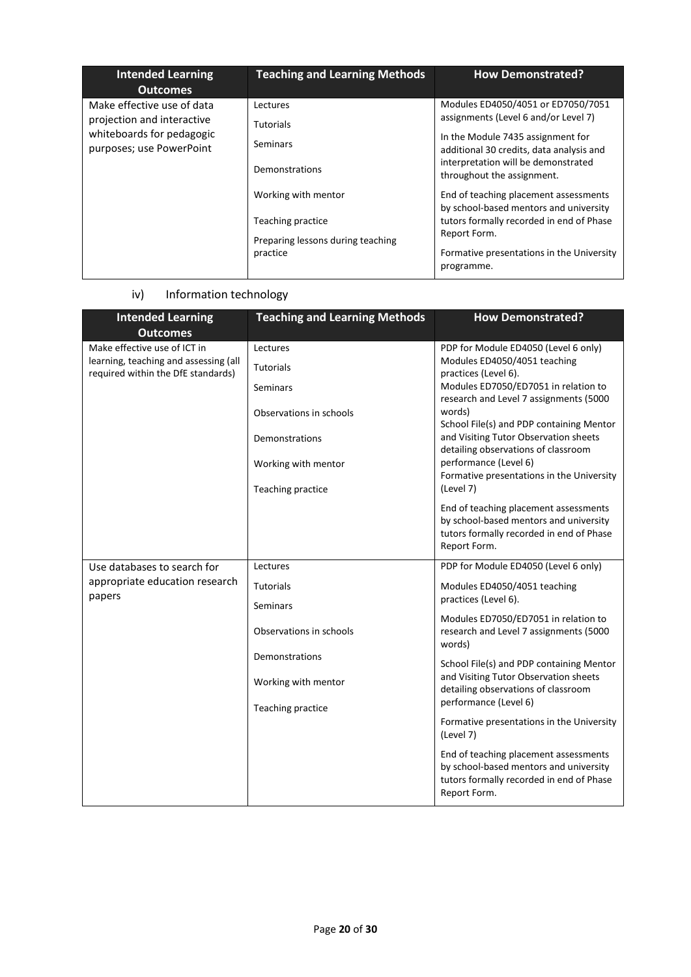| <b>Intended Learning</b><br><b>Outcomes</b>                                                                       | <b>Teaching and Learning Methods</b>                                          | <b>How Demonstrated?</b>                                                                                                                    |
|-------------------------------------------------------------------------------------------------------------------|-------------------------------------------------------------------------------|---------------------------------------------------------------------------------------------------------------------------------------------|
| Make effective use of data<br>projection and interactive<br>whiteboards for pedagogic<br>purposes; use PowerPoint | Lectures<br><b>Tutorials</b>                                                  | Modules ED4050/4051 or ED7050/7051<br>assignments (Level 6 and/or Level 7)<br>In the Module 7435 assignment for                             |
|                                                                                                                   | Seminars<br>Demonstrations                                                    | additional 30 credits, data analysis and<br>interpretation will be demonstrated<br>throughout the assignment.                               |
|                                                                                                                   | Working with mentor<br>Teaching practice<br>Preparing lessons during teaching | End of teaching placement assessments<br>by school-based mentors and university<br>tutors formally recorded in end of Phase<br>Report Form. |
|                                                                                                                   | practice                                                                      | Formative presentations in the University<br>programme.                                                                                     |

## iv) Information technology

| <b>Intended Learning</b><br><b>Outcomes</b>                                 | <b>Teaching and Learning Methods</b> | <b>How Demonstrated?</b>                                                                                                                                                     |
|-----------------------------------------------------------------------------|--------------------------------------|------------------------------------------------------------------------------------------------------------------------------------------------------------------------------|
| Make effective use of ICT in                                                | Lectures                             | PDP for Module ED4050 (Level 6 only)                                                                                                                                         |
| learning, teaching and assessing (all<br>required within the DfE standards) | Tutorials                            | Modules ED4050/4051 teaching<br>practices (Level 6).                                                                                                                         |
|                                                                             | Seminars                             | Modules ED7050/ED7051 in relation to                                                                                                                                         |
|                                                                             | Observations in schools              | research and Level 7 assignments (5000<br>words)<br>School File(s) and PDP containing Mentor<br>and Visiting Tutor Observation sheets<br>detailing observations of classroom |
|                                                                             | Demonstrations                       |                                                                                                                                                                              |
|                                                                             | Working with mentor                  | performance (Level 6)<br>Formative presentations in the University                                                                                                           |
|                                                                             | Teaching practice                    | (Level 7)                                                                                                                                                                    |
|                                                                             |                                      | End of teaching placement assessments<br>by school-based mentors and university<br>tutors formally recorded in end of Phase<br>Report Form.                                  |
| Use databases to search for                                                 | Lectures                             | PDP for Module ED4050 (Level 6 only)                                                                                                                                         |
| appropriate education research                                              | <b>Tutorials</b>                     | Modules ED4050/4051 teaching                                                                                                                                                 |
| papers                                                                      | Seminars                             | practices (Level 6).                                                                                                                                                         |
|                                                                             | Observations in schools              | Modules ED7050/ED7051 in relation to<br>research and Level 7 assignments (5000<br>words)                                                                                     |
|                                                                             | Demonstrations                       | School File(s) and PDP containing Mentor                                                                                                                                     |
|                                                                             | Working with mentor                  | and Visiting Tutor Observation sheets<br>detailing observations of classroom                                                                                                 |
|                                                                             | Teaching practice                    | performance (Level 6)                                                                                                                                                        |
|                                                                             |                                      | Formative presentations in the University<br>(Level 7)                                                                                                                       |
|                                                                             |                                      | End of teaching placement assessments<br>by school-based mentors and university<br>tutors formally recorded in end of Phase<br>Report Form.                                  |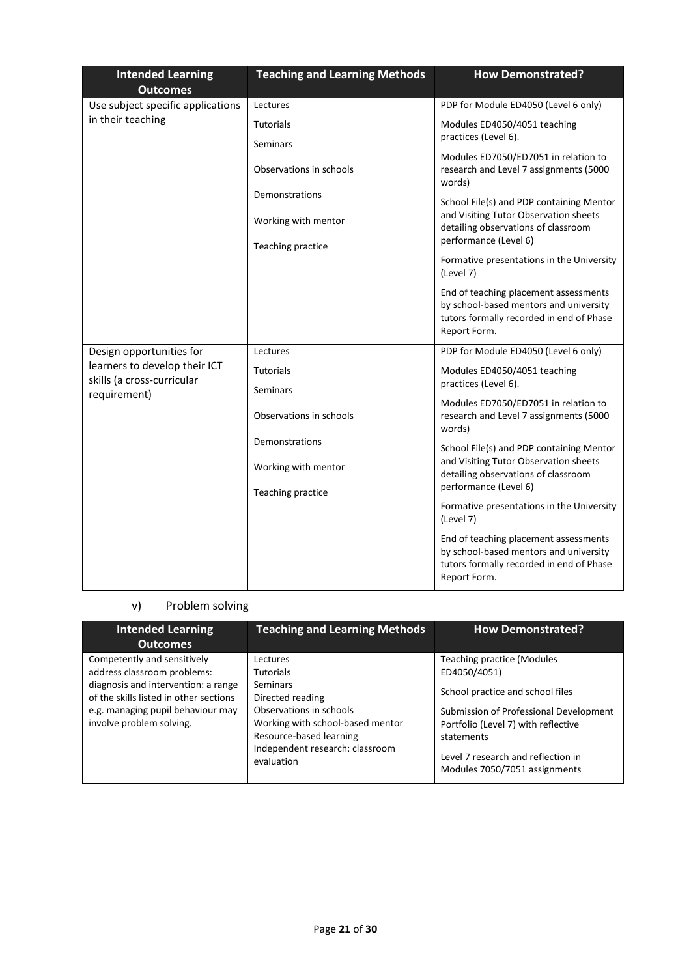| <b>Intended Learning</b><br><b>Outcomes</b>                                 | <b>Teaching and Learning Methods</b> | <b>How Demonstrated?</b>                                                                                                                    |
|-----------------------------------------------------------------------------|--------------------------------------|---------------------------------------------------------------------------------------------------------------------------------------------|
| Use subject specific applications                                           | Lectures                             | PDP for Module ED4050 (Level 6 only)                                                                                                        |
| in their teaching                                                           | <b>Tutorials</b>                     | Modules ED4050/4051 teaching                                                                                                                |
|                                                                             | Seminars                             | practices (Level 6).                                                                                                                        |
|                                                                             | Observations in schools              | Modules ED7050/ED7051 in relation to<br>research and Level 7 assignments (5000<br>words)                                                    |
|                                                                             | Demonstrations                       | School File(s) and PDP containing Mentor                                                                                                    |
|                                                                             | Working with mentor                  | and Visiting Tutor Observation sheets<br>detailing observations of classroom<br>performance (Level 6)                                       |
|                                                                             | Teaching practice                    |                                                                                                                                             |
|                                                                             |                                      | Formative presentations in the University<br>(Level 7)                                                                                      |
|                                                                             |                                      | End of teaching placement assessments<br>by school-based mentors and university<br>tutors formally recorded in end of Phase<br>Report Form. |
| Design opportunities for                                                    | Lectures                             | PDP for Module ED4050 (Level 6 only)                                                                                                        |
| learners to develop their ICT<br>skills (a cross-curricular<br>requirement) | <b>Tutorials</b><br>Seminars         | Modules ED4050/4051 teaching<br>practices (Level 6).                                                                                        |
|                                                                             | Observations in schools              | Modules ED7050/ED7051 in relation to<br>research and Level 7 assignments (5000<br>words)                                                    |
|                                                                             | Demonstrations                       | School File(s) and PDP containing Mentor                                                                                                    |
|                                                                             | Working with mentor                  | and Visiting Tutor Observation sheets<br>detailing observations of classroom                                                                |
|                                                                             | Teaching practice                    | performance (Level 6)                                                                                                                       |
|                                                                             |                                      | Formative presentations in the University<br>(Level 7)                                                                                      |
|                                                                             |                                      | End of teaching placement assessments<br>by school-based mentors and university<br>tutors formally recorded in end of Phase<br>Report Form. |

# v) Problem solving

| <b>Intended Learning</b><br><b>Outcomes</b>                                                                                                                                                                  | <b>Teaching and Learning Methods</b>                                                                                                                                                                    | <b>How Demonstrated?</b>                                                                                                                                                                                                                                    |
|--------------------------------------------------------------------------------------------------------------------------------------------------------------------------------------------------------------|---------------------------------------------------------------------------------------------------------------------------------------------------------------------------------------------------------|-------------------------------------------------------------------------------------------------------------------------------------------------------------------------------------------------------------------------------------------------------------|
| Competently and sensitively<br>address classroom problems:<br>diagnosis and intervention: a range<br>of the skills listed in other sections<br>e.g. managing pupil behaviour may<br>involve problem solving. | Lectures<br><b>Tutorials</b><br>Seminars<br>Directed reading<br>Observations in schools<br>Working with school-based mentor<br>Resource-based learning<br>Independent research: classroom<br>evaluation | <b>Teaching practice (Modules</b><br>ED4050/4051)<br>School practice and school files<br>Submission of Professional Development<br>Portfolio (Level 7) with reflective<br>statements<br>Level 7 research and reflection in<br>Modules 7050/7051 assignments |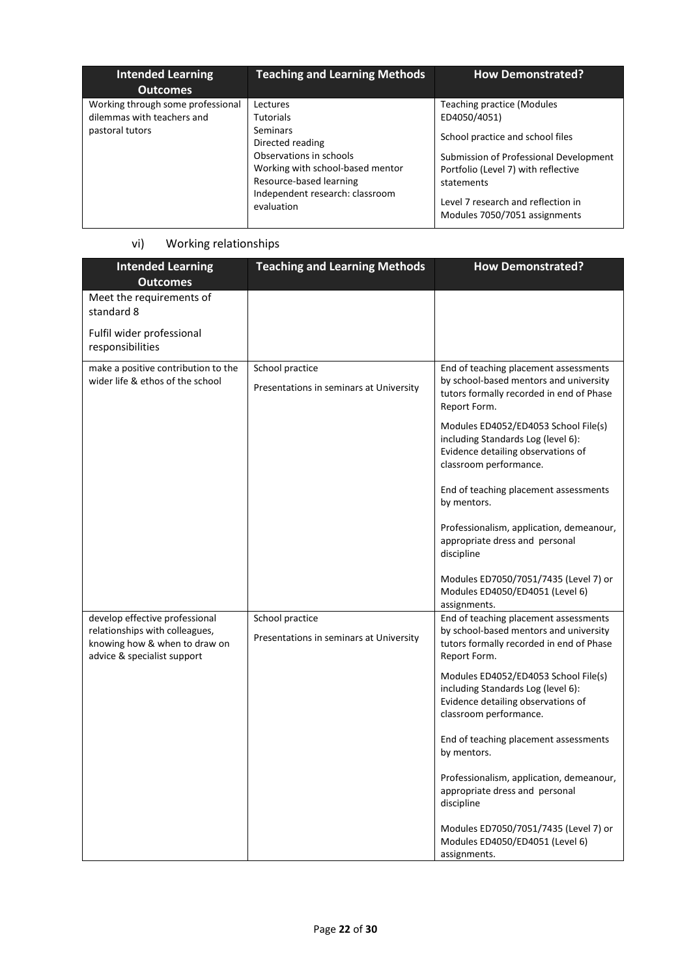| Intended Learning<br><b>Outcomes</b>                                               | <b>Teaching and Learning Methods</b>                                                                                                                                                                    | <b>How Demonstrated?</b>                                                                                                                                                                                                                                    |
|------------------------------------------------------------------------------------|---------------------------------------------------------------------------------------------------------------------------------------------------------------------------------------------------------|-------------------------------------------------------------------------------------------------------------------------------------------------------------------------------------------------------------------------------------------------------------|
| Working through some professional<br>dilemmas with teachers and<br>pastoral tutors | Lectures<br><b>Tutorials</b><br>Seminars<br>Directed reading<br>Observations in schools<br>Working with school-based mentor<br>Resource-based learning<br>Independent research: classroom<br>evaluation | <b>Teaching practice (Modules</b><br>ED4050/4051)<br>School practice and school files<br>Submission of Professional Development<br>Portfolio (Level 7) with reflective<br>statements<br>Level 7 research and reflection in<br>Modules 7050/7051 assignments |

# vi) Working relationships

| <b>Intended Learning</b><br><b>Outcomes</b>                                                                                      | <b>Teaching and Learning Methods</b>                       | <b>How Demonstrated?</b>                                                                                                                    |
|----------------------------------------------------------------------------------------------------------------------------------|------------------------------------------------------------|---------------------------------------------------------------------------------------------------------------------------------------------|
| Meet the requirements of<br>standard 8                                                                                           |                                                            |                                                                                                                                             |
| Fulfil wider professional<br>responsibilities                                                                                    |                                                            |                                                                                                                                             |
| make a positive contribution to the<br>wider life & ethos of the school                                                          | School practice<br>Presentations in seminars at University | End of teaching placement assessments<br>by school-based mentors and university<br>tutors formally recorded in end of Phase<br>Report Form. |
|                                                                                                                                  |                                                            | Modules ED4052/ED4053 School File(s)<br>including Standards Log (level 6):<br>Evidence detailing observations of<br>classroom performance.  |
|                                                                                                                                  |                                                            | End of teaching placement assessments<br>by mentors.                                                                                        |
|                                                                                                                                  |                                                            | Professionalism, application, demeanour,<br>appropriate dress and personal<br>discipline                                                    |
|                                                                                                                                  |                                                            | Modules ED7050/7051/7435 (Level 7) or<br>Modules ED4050/ED4051 (Level 6)<br>assignments.                                                    |
| develop effective professional<br>relationships with colleagues,<br>knowing how & when to draw on<br>advice & specialist support | School practice<br>Presentations in seminars at University | End of teaching placement assessments<br>by school-based mentors and university<br>tutors formally recorded in end of Phase<br>Report Form. |
|                                                                                                                                  |                                                            | Modules ED4052/ED4053 School File(s)<br>including Standards Log (level 6):<br>Evidence detailing observations of<br>classroom performance.  |
|                                                                                                                                  |                                                            | End of teaching placement assessments<br>by mentors.                                                                                        |
|                                                                                                                                  |                                                            | Professionalism, application, demeanour,<br>appropriate dress and personal<br>discipline                                                    |
|                                                                                                                                  |                                                            | Modules ED7050/7051/7435 (Level 7) or<br>Modules ED4050/ED4051 (Level 6)<br>assignments.                                                    |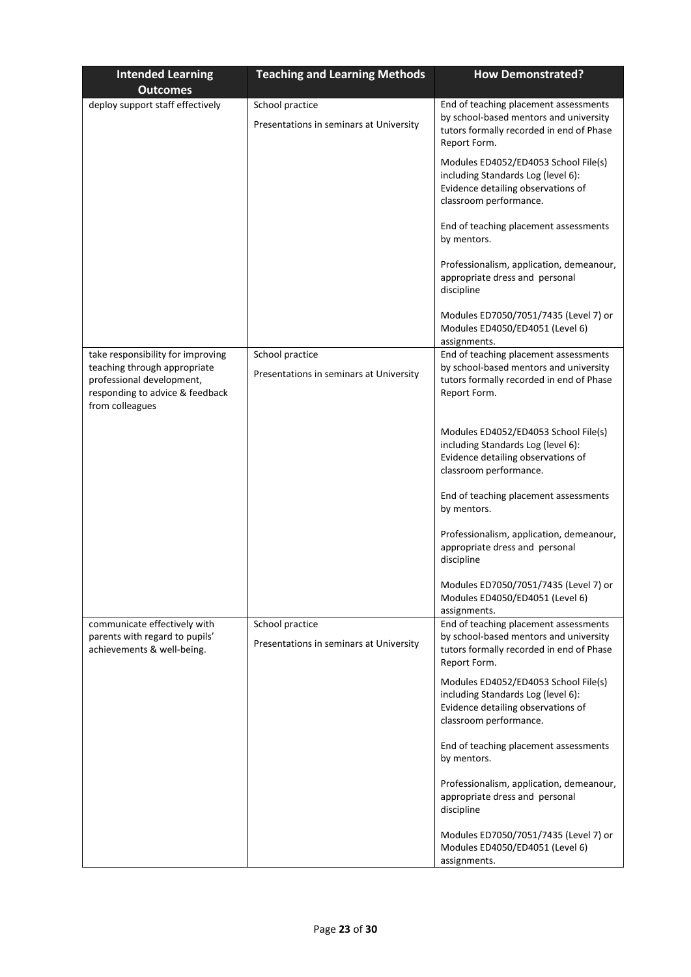| <b>Intended Learning</b><br><b>Outcomes</b>                                                                                                          | <b>Teaching and Learning Methods</b>                       | <b>How Demonstrated?</b>                                                                                                                    |
|------------------------------------------------------------------------------------------------------------------------------------------------------|------------------------------------------------------------|---------------------------------------------------------------------------------------------------------------------------------------------|
| deploy support staff effectively                                                                                                                     | School practice<br>Presentations in seminars at University | End of teaching placement assessments<br>by school-based mentors and university<br>tutors formally recorded in end of Phase<br>Report Form. |
|                                                                                                                                                      |                                                            | Modules ED4052/ED4053 School File(s)<br>including Standards Log (level 6):<br>Evidence detailing observations of<br>classroom performance.  |
|                                                                                                                                                      |                                                            | End of teaching placement assessments<br>by mentors.                                                                                        |
|                                                                                                                                                      |                                                            | Professionalism, application, demeanour,<br>appropriate dress and personal<br>discipline                                                    |
|                                                                                                                                                      |                                                            | Modules ED7050/7051/7435 (Level 7) or<br>Modules ED4050/ED4051 (Level 6)<br>assignments.                                                    |
| take responsibility for improving<br>teaching through appropriate<br>professional development,<br>responding to advice & feedback<br>from colleagues | School practice<br>Presentations in seminars at University | End of teaching placement assessments<br>by school-based mentors and university<br>tutors formally recorded in end of Phase<br>Report Form. |
|                                                                                                                                                      |                                                            | Modules ED4052/ED4053 School File(s)<br>including Standards Log (level 6):<br>Evidence detailing observations of<br>classroom performance.  |
|                                                                                                                                                      |                                                            | End of teaching placement assessments<br>by mentors.                                                                                        |
|                                                                                                                                                      |                                                            | Professionalism, application, demeanour,<br>appropriate dress and personal<br>discipline                                                    |
|                                                                                                                                                      |                                                            | Modules ED7050/7051/7435 (Level 7) or<br>Modules ED4050/ED4051 (Level 6)<br>assignments.                                                    |
| communicate effectively with<br>parents with regard to pupils'<br>achievements & well-being.                                                         | School practice<br>Presentations in seminars at University | End of teaching placement assessments<br>by school-based mentors and university<br>tutors formally recorded in end of Phase<br>Report Form. |
|                                                                                                                                                      |                                                            | Modules ED4052/ED4053 School File(s)<br>including Standards Log (level 6):<br>Evidence detailing observations of<br>classroom performance.  |
|                                                                                                                                                      |                                                            | End of teaching placement assessments<br>by mentors.                                                                                        |
|                                                                                                                                                      |                                                            | Professionalism, application, demeanour,<br>appropriate dress and personal<br>discipline                                                    |
|                                                                                                                                                      |                                                            | Modules ED7050/7051/7435 (Level 7) or<br>Modules ED4050/ED4051 (Level 6)<br>assignments.                                                    |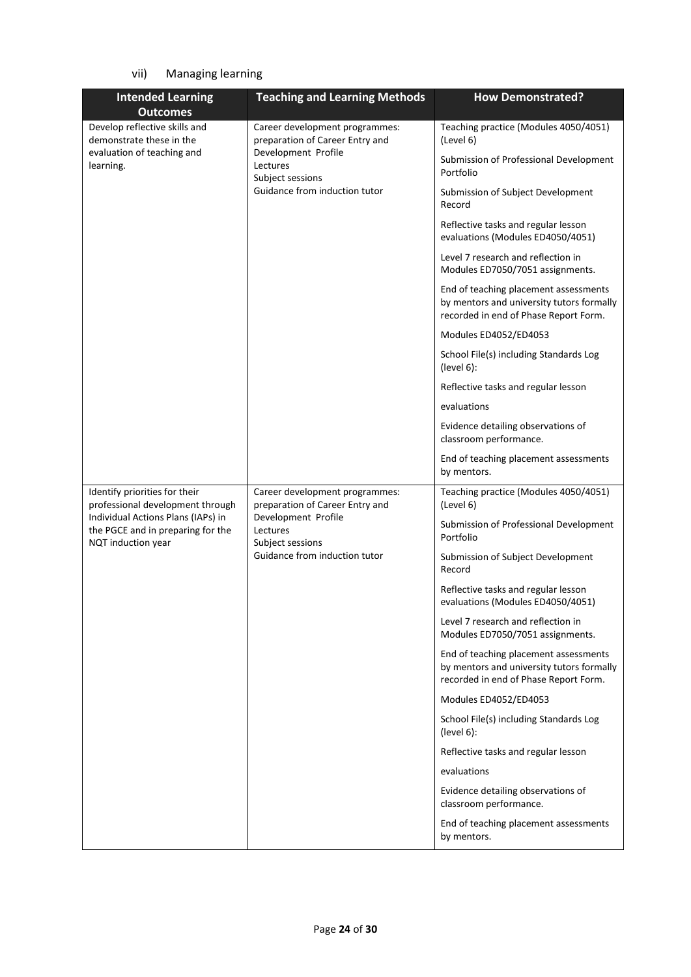# vii) Managing learning

| <b>Intended Learning</b>                                               | <b>Teaching and Learning Methods</b>                                                                                                                      | <b>How Demonstrated?</b>                                                                                                    |
|------------------------------------------------------------------------|-----------------------------------------------------------------------------------------------------------------------------------------------------------|-----------------------------------------------------------------------------------------------------------------------------|
| <b>Outcomes</b>                                                        |                                                                                                                                                           |                                                                                                                             |
| Develop reflective skills and<br>demonstrate these in the              | Career development programmes:<br>preparation of Career Entry and<br>Development Profile<br>Lectures<br>Subject sessions<br>Guidance from induction tutor | Teaching practice (Modules 4050/4051)<br>(Level 6)                                                                          |
| evaluation of teaching and<br>learning.                                |                                                                                                                                                           | Submission of Professional Development<br>Portfolio                                                                         |
|                                                                        |                                                                                                                                                           | Submission of Subject Development<br>Record                                                                                 |
|                                                                        |                                                                                                                                                           | Reflective tasks and regular lesson<br>evaluations (Modules ED4050/4051)                                                    |
|                                                                        |                                                                                                                                                           | Level 7 research and reflection in<br>Modules ED7050/7051 assignments.                                                      |
|                                                                        |                                                                                                                                                           | End of teaching placement assessments<br>by mentors and university tutors formally<br>recorded in end of Phase Report Form. |
|                                                                        |                                                                                                                                                           | Modules ED4052/ED4053                                                                                                       |
|                                                                        |                                                                                                                                                           | School File(s) including Standards Log<br>(level 6):                                                                        |
|                                                                        |                                                                                                                                                           | Reflective tasks and regular lesson                                                                                         |
|                                                                        |                                                                                                                                                           | evaluations                                                                                                                 |
|                                                                        |                                                                                                                                                           | Evidence detailing observations of<br>classroom performance.                                                                |
|                                                                        |                                                                                                                                                           | End of teaching placement assessments<br>by mentors.                                                                        |
| Identify priorities for their                                          | Career development programmes:                                                                                                                            | Teaching practice (Modules 4050/4051)                                                                                       |
| professional development through<br>Individual Actions Plans (IAPs) in | preparation of Career Entry and<br>Development Profile                                                                                                    | (Level 6)                                                                                                                   |
| the PGCE and in preparing for the<br>NQT induction year                | Lectures<br>Subject sessions                                                                                                                              | Submission of Professional Development<br>Portfolio                                                                         |
|                                                                        | Guidance from induction tutor                                                                                                                             | Submission of Subject Development<br>Record                                                                                 |
|                                                                        |                                                                                                                                                           | Reflective tasks and regular lesson<br>evaluations (Modules ED4050/4051)                                                    |
|                                                                        |                                                                                                                                                           | Level 7 research and reflection in<br>Modules ED7050/7051 assignments.                                                      |
|                                                                        |                                                                                                                                                           | End of teaching placement assessments<br>by mentors and university tutors formally<br>recorded in end of Phase Report Form. |
|                                                                        |                                                                                                                                                           | Modules ED4052/ED4053                                                                                                       |
|                                                                        |                                                                                                                                                           | School File(s) including Standards Log<br>(level 6):                                                                        |
|                                                                        |                                                                                                                                                           | Reflective tasks and regular lesson                                                                                         |
|                                                                        |                                                                                                                                                           | evaluations                                                                                                                 |
|                                                                        |                                                                                                                                                           | Evidence detailing observations of<br>classroom performance.                                                                |
|                                                                        |                                                                                                                                                           | End of teaching placement assessments<br>by mentors.                                                                        |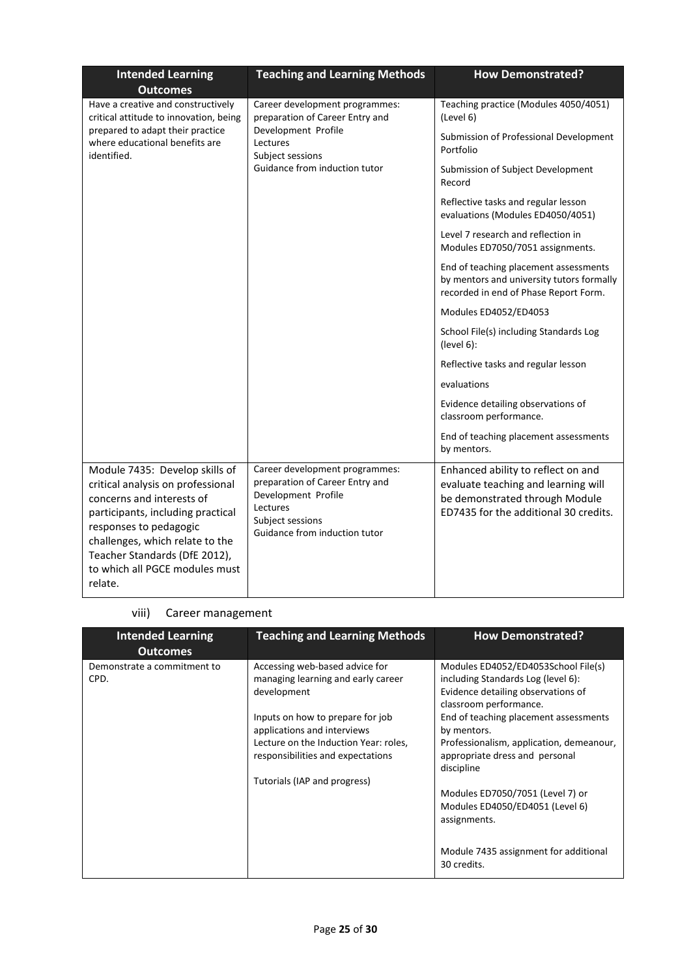| <b>Intended Learning</b><br><b>Outcomes</b>                                                                                                                                                                                                                                      | <b>Teaching and Learning Methods</b>                                                                                                                      | <b>How Demonstrated?</b>                                                                                                                             |
|----------------------------------------------------------------------------------------------------------------------------------------------------------------------------------------------------------------------------------------------------------------------------------|-----------------------------------------------------------------------------------------------------------------------------------------------------------|------------------------------------------------------------------------------------------------------------------------------------------------------|
| Have a creative and constructively<br>critical attitude to innovation, being<br>prepared to adapt their practice<br>where educational benefits are<br>identified.                                                                                                                | Career development programmes:<br>preparation of Career Entry and<br>Development Profile<br>Lectures<br>Subject sessions<br>Guidance from induction tutor | Teaching practice (Modules 4050/4051)<br>(Level 6)                                                                                                   |
|                                                                                                                                                                                                                                                                                  |                                                                                                                                                           | Submission of Professional Development<br>Portfolio                                                                                                  |
|                                                                                                                                                                                                                                                                                  |                                                                                                                                                           | Submission of Subject Development<br>Record                                                                                                          |
|                                                                                                                                                                                                                                                                                  |                                                                                                                                                           | Reflective tasks and regular lesson<br>evaluations (Modules ED4050/4051)                                                                             |
|                                                                                                                                                                                                                                                                                  |                                                                                                                                                           | Level 7 research and reflection in<br>Modules ED7050/7051 assignments.                                                                               |
|                                                                                                                                                                                                                                                                                  |                                                                                                                                                           | End of teaching placement assessments<br>by mentors and university tutors formally<br>recorded in end of Phase Report Form.                          |
|                                                                                                                                                                                                                                                                                  |                                                                                                                                                           | Modules ED4052/ED4053                                                                                                                                |
|                                                                                                                                                                                                                                                                                  |                                                                                                                                                           | School File(s) including Standards Log<br>(level 6):                                                                                                 |
|                                                                                                                                                                                                                                                                                  |                                                                                                                                                           | Reflective tasks and regular lesson                                                                                                                  |
|                                                                                                                                                                                                                                                                                  |                                                                                                                                                           | evaluations                                                                                                                                          |
|                                                                                                                                                                                                                                                                                  |                                                                                                                                                           | Evidence detailing observations of<br>classroom performance.                                                                                         |
|                                                                                                                                                                                                                                                                                  |                                                                                                                                                           | End of teaching placement assessments<br>by mentors.                                                                                                 |
| Module 7435: Develop skills of<br>critical analysis on professional<br>concerns and interests of<br>participants, including practical<br>responses to pedagogic<br>challenges, which relate to the<br>Teacher Standards (DfE 2012),<br>to which all PGCE modules must<br>relate. | Career development programmes:<br>preparation of Career Entry and<br>Development Profile<br>Lectures<br>Subject sessions<br>Guidance from induction tutor | Enhanced ability to reflect on and<br>evaluate teaching and learning will<br>be demonstrated through Module<br>ED7435 for the additional 30 credits. |

#### viii) Career management

| <b>Intended Learning</b><br><b>Outcomes</b> | <b>Teaching and Learning Methods</b>                                                                                                                                          | <b>How Demonstrated?</b>                                                                                                                                                                                                |
|---------------------------------------------|-------------------------------------------------------------------------------------------------------------------------------------------------------------------------------|-------------------------------------------------------------------------------------------------------------------------------------------------------------------------------------------------------------------------|
| Demonstrate a commitment to<br>CPD.         | Accessing web-based advice for<br>managing learning and early career<br>development                                                                                           | Modules ED4052/ED4053School File(s)<br>including Standards Log (level 6):<br>Evidence detailing observations of<br>classroom performance.                                                                               |
|                                             | Inputs on how to prepare for job<br>applications and interviews<br>Lecture on the Induction Year: roles,<br>responsibilities and expectations<br>Tutorials (IAP and progress) | End of teaching placement assessments<br>by mentors.<br>Professionalism, application, demeanour,<br>appropriate dress and personal<br>discipline<br>Modules ED7050/7051 (Level 7) or<br>Modules ED4050/ED4051 (Level 6) |
|                                             |                                                                                                                                                                               | assignments.<br>Module 7435 assignment for additional<br>30 credits.                                                                                                                                                    |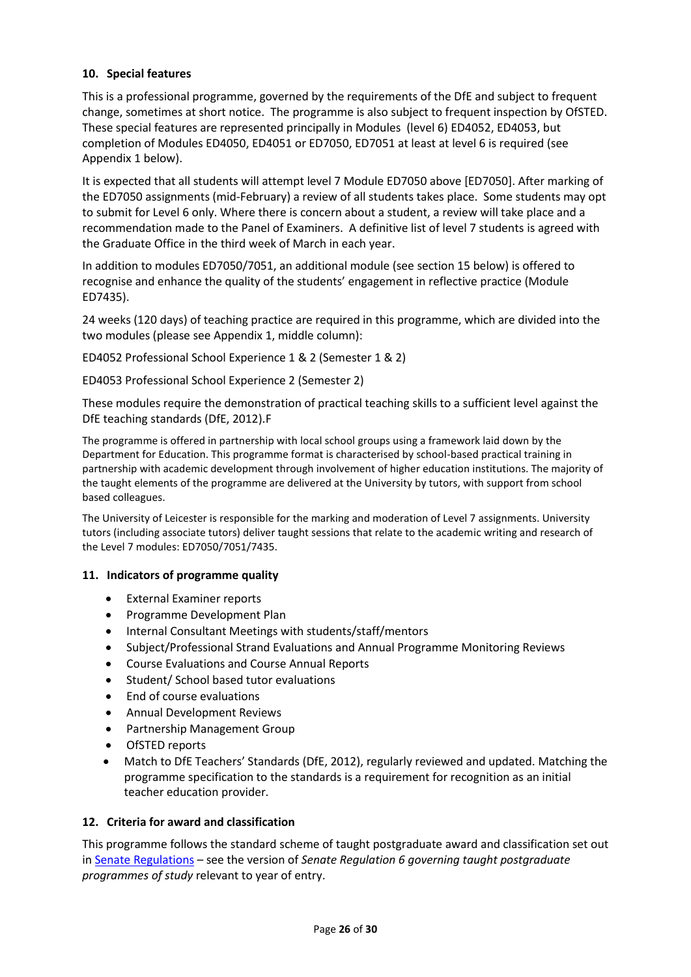### **10. Special features**

This is a professional programme, governed by the requirements of the DfE and subject to frequent change, sometimes at short notice. The programme is also subject to frequent inspection by OfSTED. These special features are represented principally in Modules (level 6) ED4052, ED4053, but completion of Modules ED4050, ED4051 or ED7050, ED7051 at least at level 6 is required (see Appendix 1 below).

It is expected that all students will attempt level 7 Module ED7050 above [ED7050]. After marking of the ED7050 assignments (mid-February) a review of all students takes place. Some students may opt to submit for Level 6 only. Where there is concern about a student, a review will take place and a recommendation made to the Panel of Examiners. A definitive list of level 7 students is agreed with the Graduate Office in the third week of March in each year.

In addition to modules ED7050/7051, an additional module (see section 15 below) is offered to recognise and enhance the quality of the students' engagement in reflective practice (Module ED7435).

24 weeks (120 days) of teaching practice are required in this programme, which are divided into the two modules (please see Appendix 1, middle column):

ED4052 Professional School Experience 1 & 2 (Semester 1 & 2)

ED4053 Professional School Experience 2 (Semester 2)

These modules require the demonstration of practical teaching skills to a sufficient level against the DfE teaching standards (DfE, 2012).F

The programme is offered in partnership with local school groups using a framework laid down by the Department for Education. This programme format is characterised by school-based practical training in partnership with academic development through involvement of higher education institutions. The majority of the taught elements of the programme are delivered at the University by tutors, with support from school based colleagues.

The University of Leicester is responsible for the marking and moderation of Level 7 assignments. University tutors (including associate tutors) deliver taught sessions that relate to the academic writing and research of the Level 7 modules: ED7050/7051/7435.

#### **11. Indicators of programme quality**

- External Examiner reports
- Programme Development Plan
- Internal Consultant Meetings with students/staff/mentors
- Subject/Professional Strand Evaluations and Annual Programme Monitoring Reviews
- Course Evaluations and Course Annual Reports
- Student/ School based tutor evaluations
- End of course evaluations
- Annual Development Reviews
- Partnership Management Group
- OfSTED reports
- Match to DfE Teachers' Standards (DfE, 2012), regularly reviewed and updated. Matching the programme specification to the standards is a requirement for recognition as an initial teacher education provider.

#### **12. Criteria for award and classification**

This programme follows the standard scheme of taught postgraduate award and classification set out i[n Senate Regulations](http://www.le.ac.uk/senate-regulations) – see the version of *Senate Regulation 6 governing taught postgraduate programmes of study* relevant to year of entry.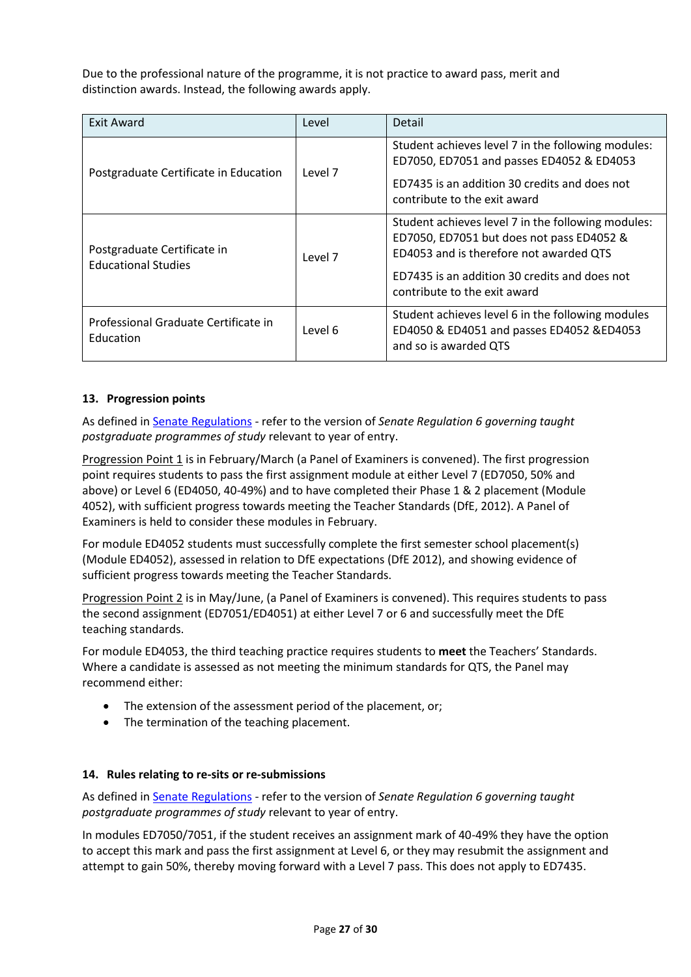Due to the professional nature of the programme, it is not practice to award pass, merit and distinction awards. Instead, the following awards apply.

| <b>Exit Award</b>                                         | Level   | Detail                                                                                                                                                                                                                      |
|-----------------------------------------------------------|---------|-----------------------------------------------------------------------------------------------------------------------------------------------------------------------------------------------------------------------------|
| Postgraduate Certificate in Education                     | Level 7 | Student achieves level 7 in the following modules:<br>ED7050, ED7051 and passes ED4052 & ED4053<br>ED7435 is an addition 30 credits and does not<br>contribute to the exit award                                            |
| Postgraduate Certificate in<br><b>Educational Studies</b> | Level 7 | Student achieves level 7 in the following modules:<br>ED7050, ED7051 but does not pass ED4052 &<br>ED4053 and is therefore not awarded QTS<br>ED7435 is an addition 30 credits and does not<br>contribute to the exit award |
| Professional Graduate Certificate in<br>Education         | Level 6 | Student achieves level 6 in the following modules<br>ED4050 & ED4051 and passes ED4052 &ED4053<br>and so is awarded QTS                                                                                                     |

#### **13. Progression points**

As defined i[n Senate Regulations](http://www.le.ac.uk/senate-regulation6) - refer to the version of *Senate Regulation 6 governing taught postgraduate programmes of study* relevant to year of entry.

Progression Point 1 is in February/March (a Panel of Examiners is convened). The first progression point requires students to pass the first assignment module at either Level 7 (ED7050, 50% and above) or Level 6 (ED4050, 40-49%) and to have completed their Phase 1 & 2 placement (Module 4052), with sufficient progress towards meeting the Teacher Standards (DfE, 2012). A Panel of Examiners is held to consider these modules in February.

For module ED4052 students must successfully complete the first semester school placement(s) (Module ED4052), assessed in relation to DfE expectations (DfE 2012), and showing evidence of sufficient progress towards meeting the Teacher Standards.

Progression Point 2 is in May/June, (a Panel of Examiners is convened). This requires students to pass the second assignment (ED7051/ED4051) at either Level 7 or 6 and successfully meet the DfE teaching standards.

For module ED4053, the third teaching practice requires students to **meet** the Teachers' Standards. Where a candidate is assessed as not meeting the minimum standards for QTS, the Panel may recommend either:

- The extension of the assessment period of the placement, or:
- The termination of the teaching placement.

#### **14. Rules relating to re-sits or re-submissions**

As defined i[n Senate Regulations](http://www.le.ac.uk/senate-regulation6) - refer to the version of *Senate Regulation 6 governing taught postgraduate programmes of study* relevant to year of entry.

In modules ED7050/7051, if the student receives an assignment mark of 40-49% they have the option to accept this mark and pass the first assignment at Level 6, or they may resubmit the assignment and attempt to gain 50%, thereby moving forward with a Level 7 pass. This does not apply to ED7435.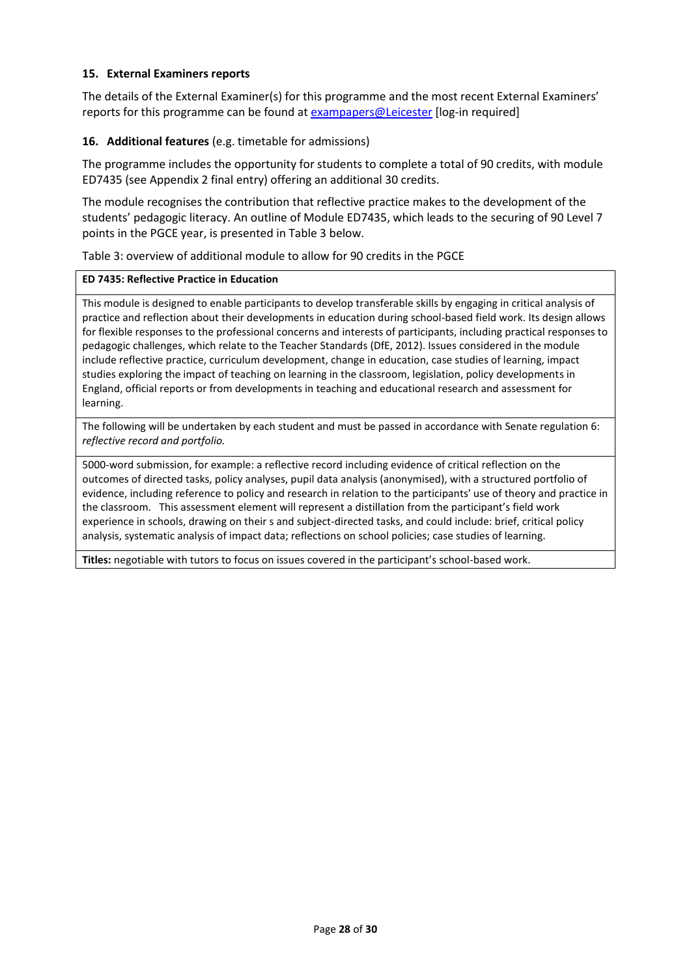#### **15. External Examiners reports**

The details of the External Examiner(s) for this programme and the most recent External Examiners' reports for this programme can be found at [exampapers@Leicester](https://exampapers.le.ac.uk/) [log-in required]

#### **16. Additional features** (e.g. timetable for admissions)

The programme includes the opportunity for students to complete a total of 90 credits, with module ED7435 (see Appendix 2 final entry) offering an additional 30 credits.

The module recognises the contribution that reflective practice makes to the development of the students' pedagogic literacy. An outline of Module ED7435, which leads to the securing of 90 Level 7 points in the PGCE year, is presented in Table 3 below.

Table 3: overview of additional module to allow for 90 credits in the PGCE

#### **ED 7435: Reflective Practice in Education**

This module is designed to enable participants to develop transferable skills by engaging in critical analysis of practice and reflection about their developments in education during school-based field work. Its design allows for flexible responses to the professional concerns and interests of participants, including practical responses to pedagogic challenges, which relate to the Teacher Standards (DfE, 2012). Issues considered in the module include reflective practice, curriculum development, change in education, case studies of learning, impact studies exploring the impact of teaching on learning in the classroom, legislation, policy developments in England, official reports or from developments in teaching and educational research and assessment for learning.

The following will be undertaken by each student and must be passed in accordance with Senate regulation 6: *reflective record and portfolio.*

5000-word submission, for example: a reflective record including evidence of critical reflection on the outcomes of directed tasks, policy analyses, pupil data analysis (anonymised), with a structured portfolio of evidence, including reference to policy and research in relation to the participants' use of theory and practice in the classroom. This assessment element will represent a distillation from the participant's field work experience in schools, drawing on their s and subject-directed tasks, and could include: brief, critical policy analysis, systematic analysis of impact data; reflections on school policies; case studies of learning.

**Titles:** negotiable with tutors to focus on issues covered in the participant's school-based work.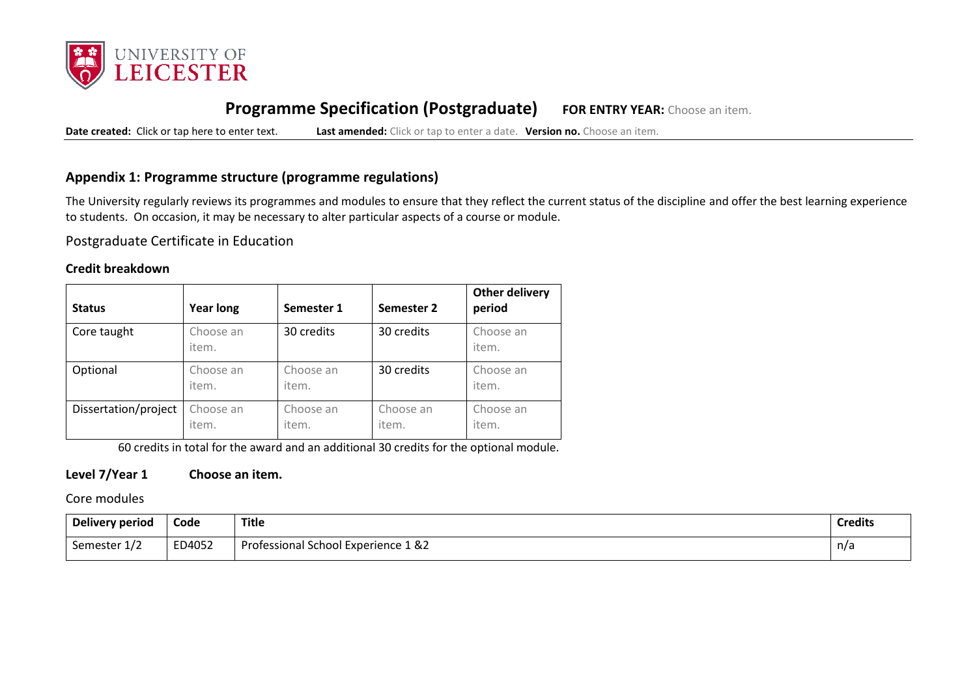

# **Programme Specification (Postgraduate) FOR ENTRY YEAR:** Choose an item.

**Date created:** Click or tap here to enter text. **Last amended:** Click or tap to enter a date. **Version no.** Choose an item.

### **Appendix 1: Programme structure (programme regulations)**

The University regularly reviews its programmes and modules to ensure that they reflect the current status of the discipline and offer the best learning experience to students. On occasion, it may be necessary to alter particular aspects of a course or module.

Postgraduate Certificate in Education

#### **Credit breakdown**

| <b>Status</b>        | <b>Year long</b>   | Semester 1         | Semester 2         | <b>Other delivery</b><br>period |
|----------------------|--------------------|--------------------|--------------------|---------------------------------|
| Core taught          | Choose an<br>item. | 30 credits         | 30 credits         | Choose an<br>item.              |
| Optional             | Choose an<br>item. | Choose an<br>item. | 30 credits         | Choose an<br>item.              |
| Dissertation/project | Choose an<br>item. | Choose an<br>item. | Choose an<br>item. | Choose an<br>item.              |

60 credits in total for the award and an additional 30 credits for the optional module.

### **Level 7/Year 1 Choose an item.**

Core modules

| Delivery period | Code   | <b>Title</b>                        | <b>Credits</b> |
|-----------------|--------|-------------------------------------|----------------|
| Semester 1/2    | ED4052 | Professional School Experience 1 &2 | n/a            |